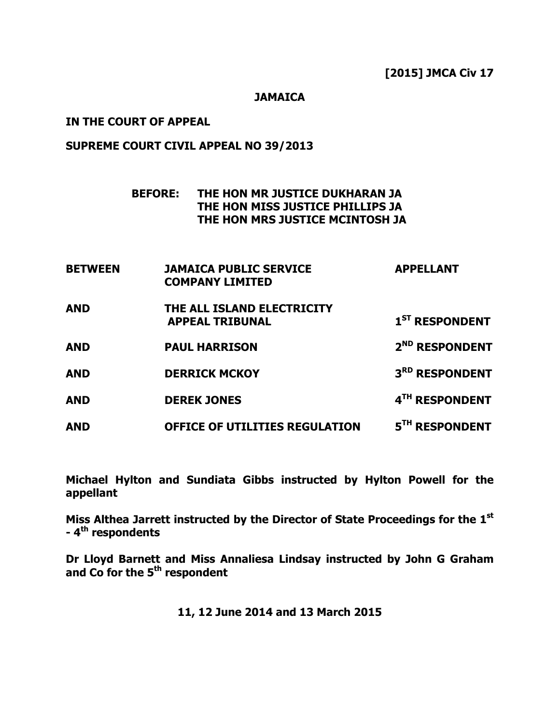## **JAMAICA**

## **IN THE COURT OF APPEAL**

# **SUPREME COURT CIVIL APPEAL NO 39/2013**

# **BEFORE: THE HON MR JUSTICE DUKHARAN JA THE HON MISS JUSTICE PHILLIPS JA THE HON MRS JUSTICE MCINTOSH JA**

| <b>BETWEEN</b> | <b>JAMAICA PUBLIC SERVICE</b><br><b>COMPANY LIMITED</b> | <b>APPELLANT</b>           |
|----------------|---------------------------------------------------------|----------------------------|
| <b>AND</b>     | THE ALL ISLAND ELECTRICITY<br><b>APPEAL TRIBUNAL</b>    | 1 <sup>ST</sup> RESPONDENT |
| <b>AND</b>     | <b>PAUL HARRISON</b>                                    | 2 <sup>ND</sup> RESPONDENT |
| <b>AND</b>     | <b>DERRICK MCKOY</b>                                    | 3RD RESPONDENT             |
| <b>AND</b>     | <b>DEREK JONES</b>                                      | 4TH RESPONDENT             |
| <b>AND</b>     | <b>OFFICE OF UTILITIES REGULATION</b>                   | 5 <sup>TH</sup> RESPONDENT |

**Michael Hylton and Sundiata Gibbs instructed by Hylton Powell for the appellant** 

**Miss Althea Jarrett instructed by the Director of State Proceedings for the 1st - 4th respondents** 

**Dr Lloyd Barnett and Miss Annaliesa Lindsay instructed by John G Graham and Co for the 5th respondent** 

**11, 12 June 2014 and 13 March 2015**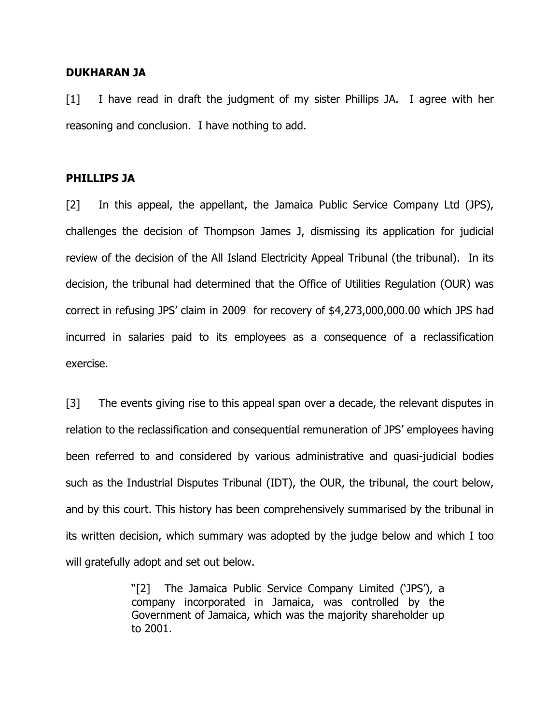# **DUKHARAN JA**

[1] I have read in draft the judgment of my sister Phillips JA. I agree with her reasoning and conclusion. I have nothing to add.

## **PHILLIPS JA**

[2] In this appeal, the appellant, the Jamaica Public Service Company Ltd (JPS), challenges the decision of Thompson James J, dismissing its application for judicial review of the decision of the All Island Electricity Appeal Tribunal (the tribunal). In its decision, the tribunal had determined that the Office of Utilities Regulation (OUR) was correct in refusing JPS' claim in 2009 for recovery of \$4,273,000,000.00 which JPS had incurred in salaries paid to its employees as a consequence of a reclassification exercise.

[3] The events giving rise to this appeal span over a decade, the relevant disputes in relation to the reclassification and consequential remuneration of JPS' employees having been referred to and considered by various administrative and quasi-judicial bodies such as the Industrial Disputes Tribunal (IDT), the OUR, the tribunal, the court below, and by this court. This history has been comprehensively summarised by the tribunal in its written decision, which summary was adopted by the judge below and which I too will gratefully adopt and set out below.

> "[2] The Jamaica Public Service Company Limited ('JPS'), a company incorporated in Jamaica, was controlled by the Government of Jamaica, which was the majority shareholder up to 2001.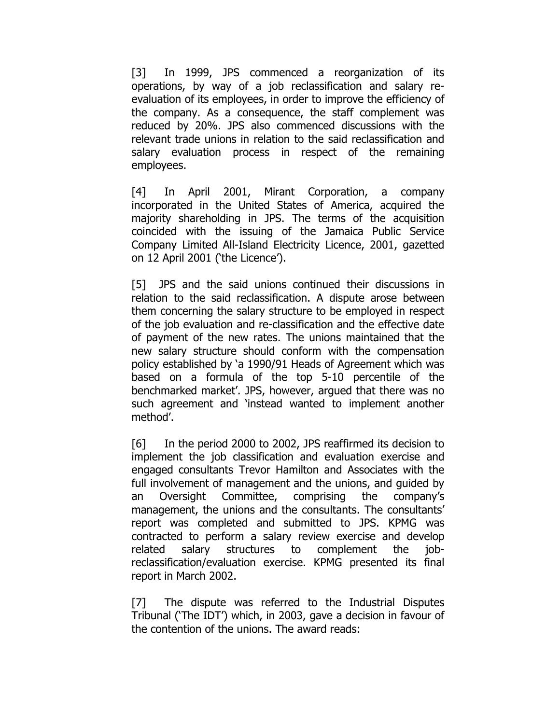[3] In 1999, JPS commenced a reorganization of its operations, by way of a job reclassification and salary reevaluation of its employees, in order to improve the efficiency of the company. As a consequence, the staff complement was reduced by 20%. JPS also commenced discussions with the relevant trade unions in relation to the said reclassification and salary evaluation process in respect of the remaining employees.

[4] In April 2001, Mirant Corporation, a company incorporated in the United States of America, acquired the majority shareholding in JPS. The terms of the acquisition coincided with the issuing of the Jamaica Public Service Company Limited All-Island Electricity Licence, 2001, gazetted on 12 April 2001 ('the Licence').

[5] JPS and the said unions continued their discussions in relation to the said reclassification. A dispute arose between them concerning the salary structure to be employed in respect of the job evaluation and re-classification and the effective date of payment of the new rates. The unions maintained that the new salary structure should conform with the compensation policy established by 'a 1990/91 Heads of Agreement which was based on a formula of the top 5-10 percentile of the benchmarked market'. JPS, however, argued that there was no such agreement and 'instead wanted to implement another method'.

[6] In the period 2000 to 2002, JPS reaffirmed its decision to implement the job classification and evaluation exercise and engaged consultants Trevor Hamilton and Associates with the full involvement of management and the unions, and guided by an Oversight Committee, comprising the company's management, the unions and the consultants. The consultants' report was completed and submitted to JPS. KPMG was contracted to perform a salary review exercise and develop related salary structures to complement the jobreclassification/evaluation exercise. KPMG presented its final report in March 2002.

[7] The dispute was referred to the Industrial Disputes Tribunal ('The IDT') which, in 2003, gave a decision in favour of the contention of the unions. The award reads: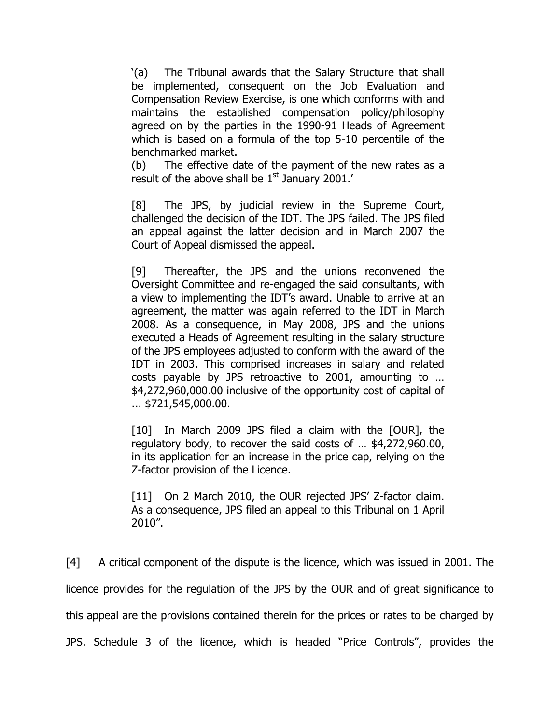'(a) The Tribunal awards that the Salary Structure that shall be implemented, consequent on the Job Evaluation and Compensation Review Exercise, is one which conforms with and maintains the established compensation policy/philosophy agreed on by the parties in the 1990-91 Heads of Agreement which is based on a formula of the top 5-10 percentile of the benchmarked market.

(b) The effective date of the payment of the new rates as a result of the above shall be  $1<sup>st</sup>$  January 2001.

[8] The JPS, by judicial review in the Supreme Court, challenged the decision of the IDT. The JPS failed. The JPS filed an appeal against the latter decision and in March 2007 the Court of Appeal dismissed the appeal.

[9] Thereafter, the JPS and the unions reconvened the Oversight Committee and re-engaged the said consultants, with a view to implementing the IDT's award. Unable to arrive at an agreement, the matter was again referred to the IDT in March 2008. As a consequence, in May 2008, JPS and the unions executed a Heads of Agreement resulting in the salary structure of the JPS employees adjusted to conform with the award of the IDT in 2003. This comprised increases in salary and related costs payable by JPS retroactive to 2001, amounting to … \$4,272,960,000.00 inclusive of the opportunity cost of capital of ... \$721,545,000.00.

[10] In March 2009 JPS filed a claim with the [OUR], the regulatory body, to recover the said costs of … \$4,272,960.00, in its application for an increase in the price cap, relying on the Z-factor provision of the Licence.

[11] On 2 March 2010, the OUR rejected JPS' Z-factor claim. As a consequence, JPS filed an appeal to this Tribunal on 1 April 2010".

[4] A critical component of the dispute is the licence, which was issued in 2001. The licence provides for the regulation of the JPS by the OUR and of great significance to this appeal are the provisions contained therein for the prices or rates to be charged by JPS. Schedule 3 of the licence, which is headed "Price Controls", provides the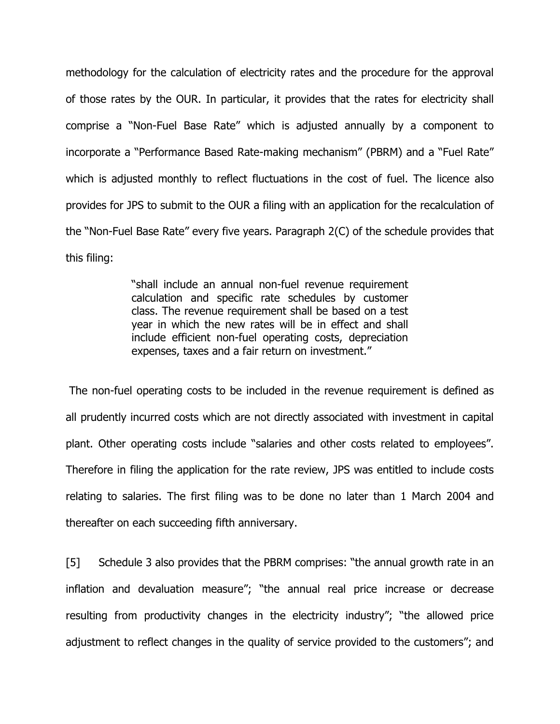methodology for the calculation of electricity rates and the procedure for the approval of those rates by the OUR. In particular, it provides that the rates for electricity shall comprise a "Non-Fuel Base Rate" which is adjusted annually by a component to incorporate a "Performance Based Rate-making mechanism" (PBRM) and a "Fuel Rate" which is adjusted monthly to reflect fluctuations in the cost of fuel. The licence also provides for JPS to submit to the OUR a filing with an application for the recalculation of the "Non-Fuel Base Rate" every five years. Paragraph 2(C) of the schedule provides that this filing:

> "shall include an annual non-fuel revenue requirement calculation and specific rate schedules by customer class. The revenue requirement shall be based on a test year in which the new rates will be in effect and shall include efficient non-fuel operating costs, depreciation expenses, taxes and a fair return on investment."

 The non-fuel operating costs to be included in the revenue requirement is defined as all prudently incurred costs which are not directly associated with investment in capital plant. Other operating costs include "salaries and other costs related to employees". Therefore in filing the application for the rate review, JPS was entitled to include costs relating to salaries. The first filing was to be done no later than 1 March 2004 and thereafter on each succeeding fifth anniversary.

[5] Schedule 3 also provides that the PBRM comprises: "the annual growth rate in an inflation and devaluation measure"; "the annual real price increase or decrease resulting from productivity changes in the electricity industry"; "the allowed price adjustment to reflect changes in the quality of service provided to the customers"; and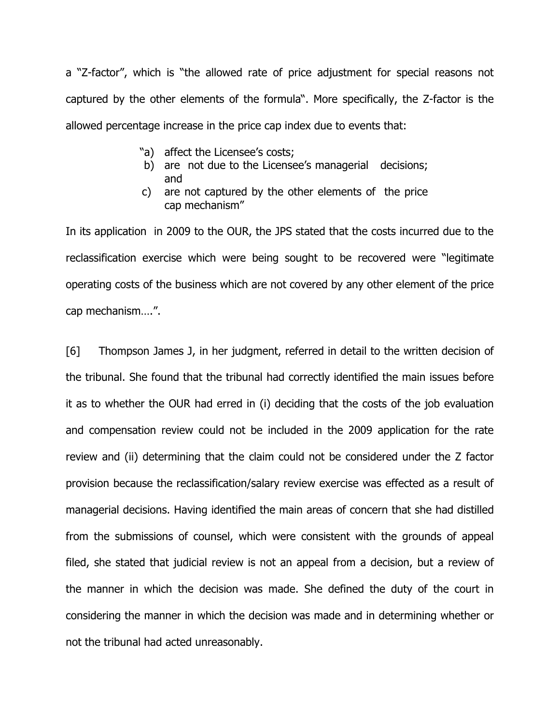a "Z-factor", which is "the allowed rate of price adjustment for special reasons not captured by the other elements of the formula". More specifically, the Z-factor is the allowed percentage increase in the price cap index due to events that:

- "a) affect the Licensee's costs;
- b) are not due to the Licensee's managerial decisions; and
- c) are not captured by the other elements of the price cap mechanism"

In its application in 2009 to the OUR, the JPS stated that the costs incurred due to the reclassification exercise which were being sought to be recovered were "legitimate operating costs of the business which are not covered by any other element of the price cap mechanism….".

[6] Thompson James J, in her judgment, referred in detail to the written decision of the tribunal. She found that the tribunal had correctly identified the main issues before it as to whether the OUR had erred in (i) deciding that the costs of the job evaluation and compensation review could not be included in the 2009 application for the rate review and (ii) determining that the claim could not be considered under the Z factor provision because the reclassification/salary review exercise was effected as a result of managerial decisions. Having identified the main areas of concern that she had distilled from the submissions of counsel, which were consistent with the grounds of appeal filed, she stated that judicial review is not an appeal from a decision, but a review of the manner in which the decision was made. She defined the duty of the court in considering the manner in which the decision was made and in determining whether or not the tribunal had acted unreasonably.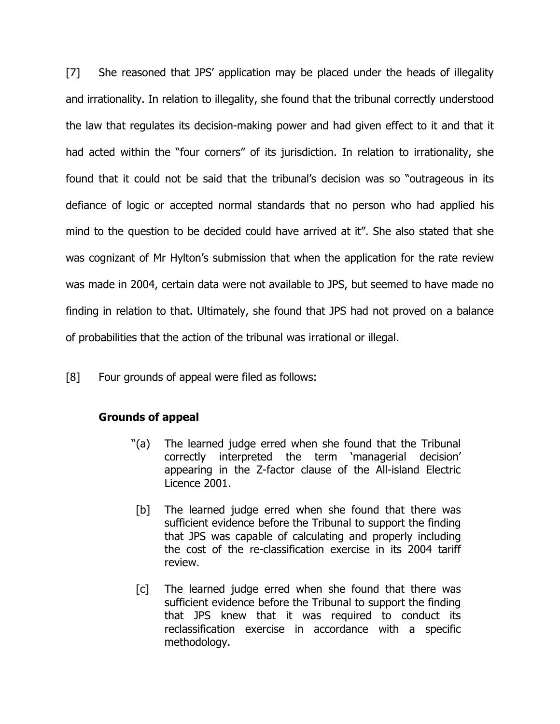[7] She reasoned that JPS' application may be placed under the heads of illegality and irrationality. In relation to illegality, she found that the tribunal correctly understood the law that regulates its decision-making power and had given effect to it and that it had acted within the "four corners" of its jurisdiction. In relation to irrationality, she found that it could not be said that the tribunal's decision was so "outrageous in its defiance of logic or accepted normal standards that no person who had applied his mind to the question to be decided could have arrived at it". She also stated that she was cognizant of Mr Hylton's submission that when the application for the rate review was made in 2004, certain data were not available to JPS, but seemed to have made no finding in relation to that. Ultimately, she found that JPS had not proved on a balance of probabilities that the action of the tribunal was irrational or illegal.

[8] Four grounds of appeal were filed as follows:

# **Grounds of appeal**

- "(a) The learned judge erred when she found that the Tribunal correctly interpreted the term 'managerial decision' appearing in the Z-factor clause of the All-island Electric Licence 2001.
- [b] The learned judge erred when she found that there was sufficient evidence before the Tribunal to support the finding that JPS was capable of calculating and properly including the cost of the re-classification exercise in its 2004 tariff review.
- [c] The learned judge erred when she found that there was sufficient evidence before the Tribunal to support the finding that JPS knew that it was required to conduct its reclassification exercise in accordance with a specific methodology.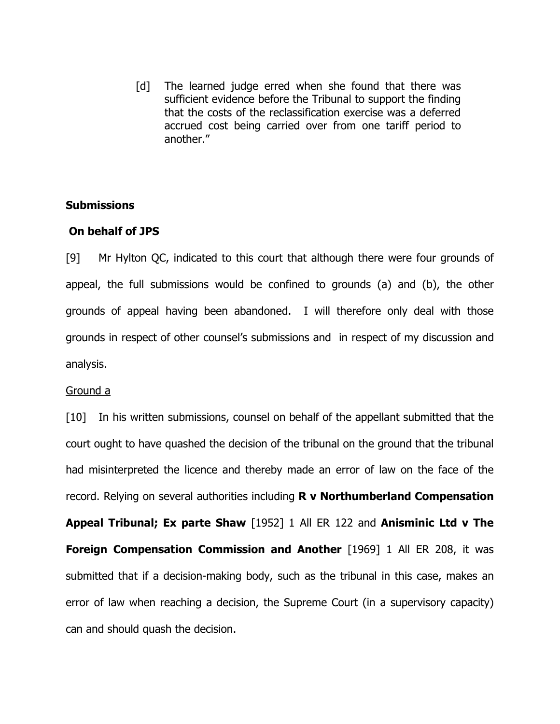[d] The learned judge erred when she found that there was sufficient evidence before the Tribunal to support the finding that the costs of the reclassification exercise was a deferred accrued cost being carried over from one tariff period to another."

# **Submissions**

# **On behalf of JPS**

[9] Mr Hylton QC, indicated to this court that although there were four grounds of appeal, the full submissions would be confined to grounds (a) and (b), the other grounds of appeal having been abandoned. I will therefore only deal with those grounds in respect of other counsel's submissions and in respect of my discussion and analysis.

## Ground a

[10] In his written submissions, counsel on behalf of the appellant submitted that the court ought to have quashed the decision of the tribunal on the ground that the tribunal had misinterpreted the licence and thereby made an error of law on the face of the record. Relying on several authorities including **R v Northumberland Compensation Appeal Tribunal; Ex parte Shaw** [1952] 1 All ER 122 and **Anisminic Ltd v The Foreign Compensation Commission and Another** [1969] 1 All ER 208, it was submitted that if a decision-making body, such as the tribunal in this case, makes an error of law when reaching a decision, the Supreme Court (in a supervisory capacity) can and should quash the decision.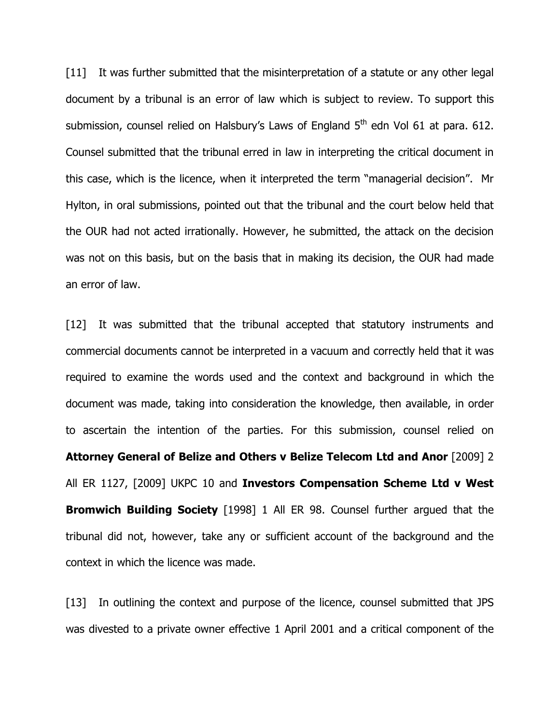[11] It was further submitted that the misinterpretation of a statute or any other legal document by a tribunal is an error of law which is subject to review. To support this submission, counsel relied on Halsbury's Laws of England  $5<sup>th</sup>$  edn Vol 61 at para. 612. Counsel submitted that the tribunal erred in law in interpreting the critical document in this case, which is the licence, when it interpreted the term "managerial decision". Mr Hylton, in oral submissions, pointed out that the tribunal and the court below held that the OUR had not acted irrationally. However, he submitted, the attack on the decision was not on this basis, but on the basis that in making its decision, the OUR had made an error of law.

[12] It was submitted that the tribunal accepted that statutory instruments and commercial documents cannot be interpreted in a vacuum and correctly held that it was required to examine the words used and the context and background in which the document was made, taking into consideration the knowledge, then available, in order to ascertain the intention of the parties. For this submission, counsel relied on **Attorney General of Belize and Others v Belize Telecom Ltd and Anor** [2009] 2 All ER 1127, [2009] UKPC 10 and **Investors Compensation Scheme Ltd v West Bromwich Building Society** [1998] 1 All ER 98. Counsel further argued that the tribunal did not, however, take any or sufficient account of the background and the context in which the licence was made.

[13] In outlining the context and purpose of the licence, counsel submitted that JPS was divested to a private owner effective 1 April 2001 and a critical component of the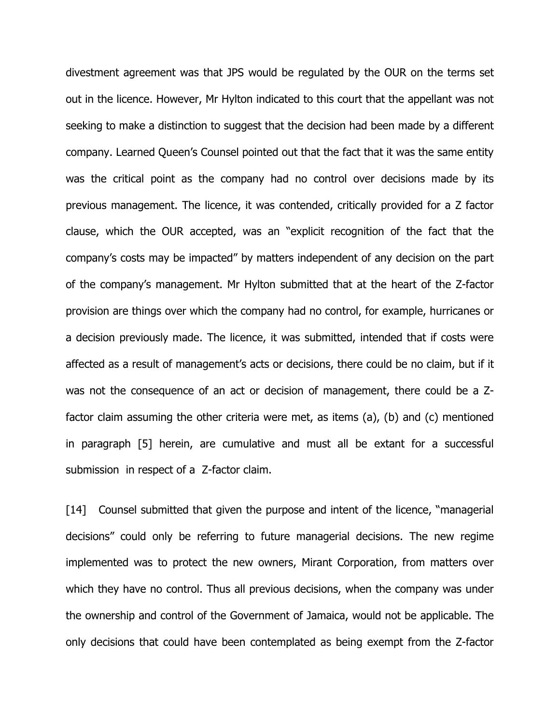divestment agreement was that JPS would be regulated by the OUR on the terms set out in the licence. However, Mr Hylton indicated to this court that the appellant was not seeking to make a distinction to suggest that the decision had been made by a different company. Learned Queen's Counsel pointed out that the fact that it was the same entity was the critical point as the company had no control over decisions made by its previous management. The licence, it was contended, critically provided for a Z factor clause, which the OUR accepted, was an "explicit recognition of the fact that the company's costs may be impacted" by matters independent of any decision on the part of the company's management. Mr Hylton submitted that at the heart of the Z-factor provision are things over which the company had no control, for example, hurricanes or a decision previously made. The licence, it was submitted, intended that if costs were affected as a result of management's acts or decisions, there could be no claim, but if it was not the consequence of an act or decision of management, there could be a Zfactor claim assuming the other criteria were met, as items (a), (b) and (c) mentioned in paragraph [5] herein, are cumulative and must all be extant for a successful submission in respect of a Z-factor claim.

[14] Counsel submitted that given the purpose and intent of the licence, "managerial" decisions" could only be referring to future managerial decisions. The new regime implemented was to protect the new owners, Mirant Corporation, from matters over which they have no control. Thus all previous decisions, when the company was under the ownership and control of the Government of Jamaica, would not be applicable. The only decisions that could have been contemplated as being exempt from the Z-factor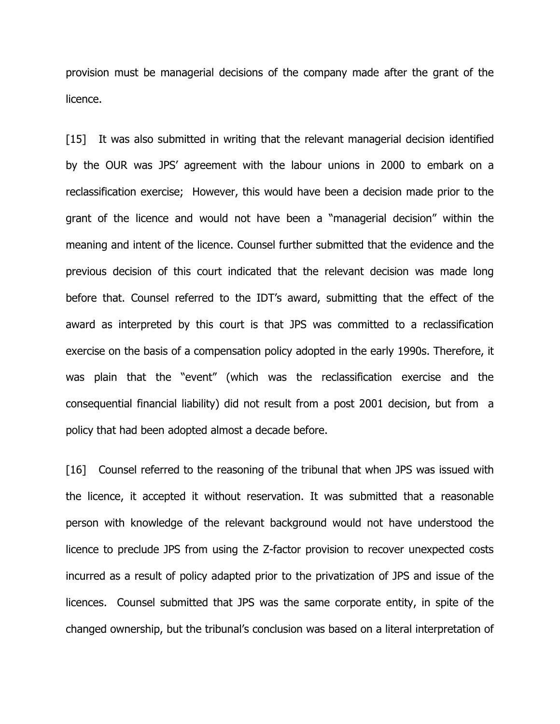provision must be managerial decisions of the company made after the grant of the licence.

[15] It was also submitted in writing that the relevant managerial decision identified by the OUR was JPS' agreement with the labour unions in 2000 to embark on a reclassification exercise; However, this would have been a decision made prior to the grant of the licence and would not have been a "managerial decision" within the meaning and intent of the licence. Counsel further submitted that the evidence and the previous decision of this court indicated that the relevant decision was made long before that. Counsel referred to the IDT's award, submitting that the effect of the award as interpreted by this court is that JPS was committed to a reclassification exercise on the basis of a compensation policy adopted in the early 1990s. Therefore, it was plain that the "event" (which was the reclassification exercise and the consequential financial liability) did not result from a post 2001 decision, but from a policy that had been adopted almost a decade before.

[16] Counsel referred to the reasoning of the tribunal that when JPS was issued with the licence, it accepted it without reservation. It was submitted that a reasonable person with knowledge of the relevant background would not have understood the licence to preclude JPS from using the Z-factor provision to recover unexpected costs incurred as a result of policy adapted prior to the privatization of JPS and issue of the licences. Counsel submitted that JPS was the same corporate entity, in spite of the changed ownership, but the tribunal's conclusion was based on a literal interpretation of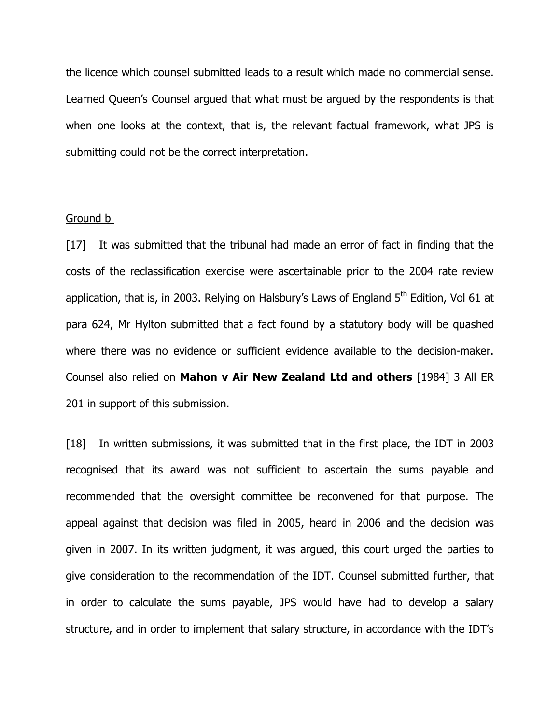the licence which counsel submitted leads to a result which made no commercial sense. Learned Queen's Counsel argued that what must be argued by the respondents is that when one looks at the context, that is, the relevant factual framework, what JPS is submitting could not be the correct interpretation.

## Ground b

[17] It was submitted that the tribunal had made an error of fact in finding that the costs of the reclassification exercise were ascertainable prior to the 2004 rate review application, that is, in 2003. Relying on Halsbury's Laws of England  $5<sup>th</sup>$  Edition, Vol 61 at para 624, Mr Hylton submitted that a fact found by a statutory body will be quashed where there was no evidence or sufficient evidence available to the decision-maker. Counsel also relied on **Mahon v Air New Zealand Ltd and others** [1984] 3 All ER 201 in support of this submission.

[18] In written submissions, it was submitted that in the first place, the IDT in 2003 recognised that its award was not sufficient to ascertain the sums payable and recommended that the oversight committee be reconvened for that purpose. The appeal against that decision was filed in 2005, heard in 2006 and the decision was given in 2007. In its written judgment, it was argued, this court urged the parties to give consideration to the recommendation of the IDT. Counsel submitted further, that in order to calculate the sums payable, JPS would have had to develop a salary structure, and in order to implement that salary structure, in accordance with the IDT's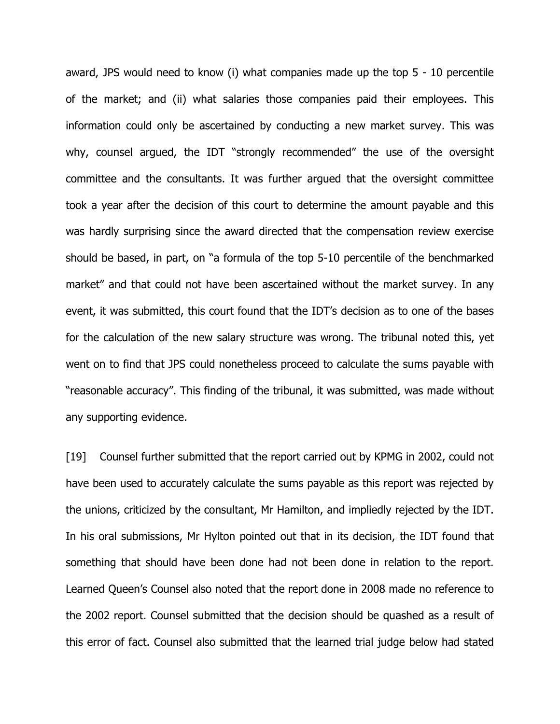award, JPS would need to know (i) what companies made up the top 5 - 10 percentile of the market; and (ii) what salaries those companies paid their employees. This information could only be ascertained by conducting a new market survey. This was why, counsel argued, the IDT "strongly recommended" the use of the oversight committee and the consultants. It was further argued that the oversight committee took a year after the decision of this court to determine the amount payable and this was hardly surprising since the award directed that the compensation review exercise should be based, in part, on "a formula of the top 5-10 percentile of the benchmarked market" and that could not have been ascertained without the market survey. In any event, it was submitted, this court found that the IDT's decision as to one of the bases for the calculation of the new salary structure was wrong. The tribunal noted this, yet went on to find that JPS could nonetheless proceed to calculate the sums payable with "reasonable accuracy". This finding of the tribunal, it was submitted, was made without any supporting evidence.

[19] Counsel further submitted that the report carried out by KPMG in 2002, could not have been used to accurately calculate the sums payable as this report was rejected by the unions, criticized by the consultant, Mr Hamilton, and impliedly rejected by the IDT. In his oral submissions, Mr Hylton pointed out that in its decision, the IDT found that something that should have been done had not been done in relation to the report. Learned Queen's Counsel also noted that the report done in 2008 made no reference to the 2002 report. Counsel submitted that the decision should be quashed as a result of this error of fact. Counsel also submitted that the learned trial judge below had stated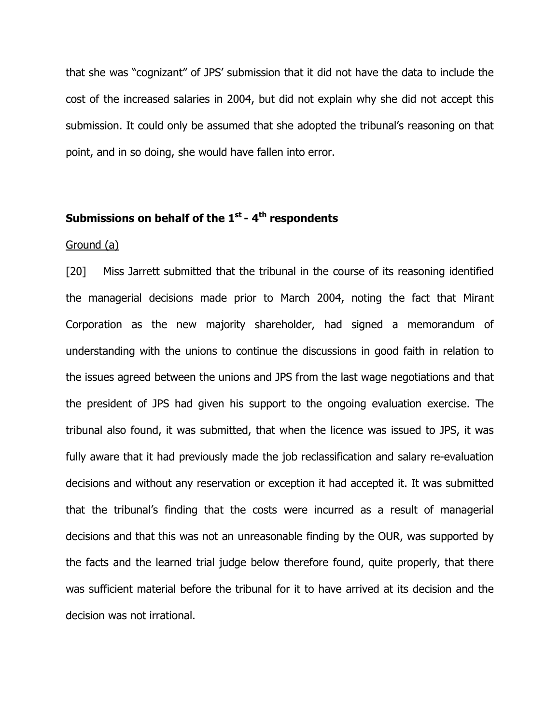that she was "cognizant" of JPS' submission that it did not have the data to include the cost of the increased salaries in 2004, but did not explain why she did not accept this submission. It could only be assumed that she adopted the tribunal's reasoning on that point, and in so doing, she would have fallen into error.

# **Submissions on behalf of the 1st - 4th respondents**

### Ground (a)

[20] Miss Jarrett submitted that the tribunal in the course of its reasoning identified the managerial decisions made prior to March 2004, noting the fact that Mirant Corporation as the new majority shareholder, had signed a memorandum of understanding with the unions to continue the discussions in good faith in relation to the issues agreed between the unions and JPS from the last wage negotiations and that the president of JPS had given his support to the ongoing evaluation exercise. The tribunal also found, it was submitted, that when the licence was issued to JPS, it was fully aware that it had previously made the job reclassification and salary re-evaluation decisions and without any reservation or exception it had accepted it. It was submitted that the tribunal's finding that the costs were incurred as a result of managerial decisions and that this was not an unreasonable finding by the OUR, was supported by the facts and the learned trial judge below therefore found, quite properly, that there was sufficient material before the tribunal for it to have arrived at its decision and the decision was not irrational.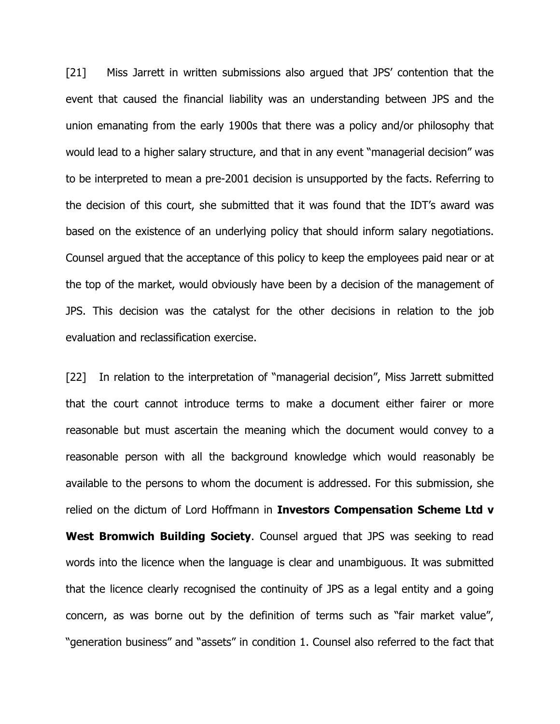[21] Miss Jarrett in written submissions also argued that JPS' contention that the event that caused the financial liability was an understanding between JPS and the union emanating from the early 1900s that there was a policy and/or philosophy that would lead to a higher salary structure, and that in any event "managerial decision" was to be interpreted to mean a pre-2001 decision is unsupported by the facts. Referring to the decision of this court, she submitted that it was found that the IDT's award was based on the existence of an underlying policy that should inform salary negotiations. Counsel argued that the acceptance of this policy to keep the employees paid near or at the top of the market, would obviously have been by a decision of the management of JPS. This decision was the catalyst for the other decisions in relation to the job evaluation and reclassification exercise.

[22] In relation to the interpretation of "managerial decision", Miss Jarrett submitted that the court cannot introduce terms to make a document either fairer or more reasonable but must ascertain the meaning which the document would convey to a reasonable person with all the background knowledge which would reasonably be available to the persons to whom the document is addressed. For this submission, she relied on the dictum of Lord Hoffmann in **Investors Compensation Scheme Ltd v West Bromwich Building Society**. Counsel argued that JPS was seeking to read words into the licence when the language is clear and unambiguous. It was submitted that the licence clearly recognised the continuity of JPS as a legal entity and a going concern, as was borne out by the definition of terms such as "fair market value", "generation business" and "assets" in condition 1. Counsel also referred to the fact that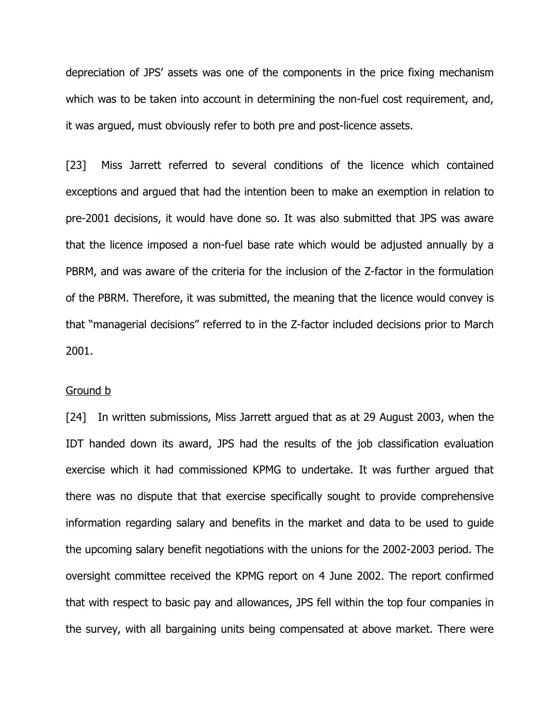depreciation of JPS' assets was one of the components in the price fixing mechanism which was to be taken into account in determining the non-fuel cost requirement, and, it was argued, must obviously refer to both pre and post-licence assets.

[23] Miss Jarrett referred to several conditions of the licence which contained exceptions and argued that had the intention been to make an exemption in relation to pre-2001 decisions, it would have done so. It was also submitted that JPS was aware that the licence imposed a non-fuel base rate which would be adjusted annually by a PBRM, and was aware of the criteria for the inclusion of the Z-factor in the formulation of the PBRM. Therefore, it was submitted, the meaning that the licence would convey is that "managerial decisions" referred to in the Z-factor included decisions prior to March 2001.

#### Ground b

[24] In written submissions, Miss Jarrett argued that as at 29 August 2003, when the IDT handed down its award, JPS had the results of the job classification evaluation exercise which it had commissioned KPMG to undertake. It was further argued that there was no dispute that that exercise specifically sought to provide comprehensive information regarding salary and benefits in the market and data to be used to guide the upcoming salary benefit negotiations with the unions for the 2002-2003 period. The oversight committee received the KPMG report on 4 June 2002. The report confirmed that with respect to basic pay and allowances, JPS fell within the top four companies in the survey, with all bargaining units being compensated at above market. There were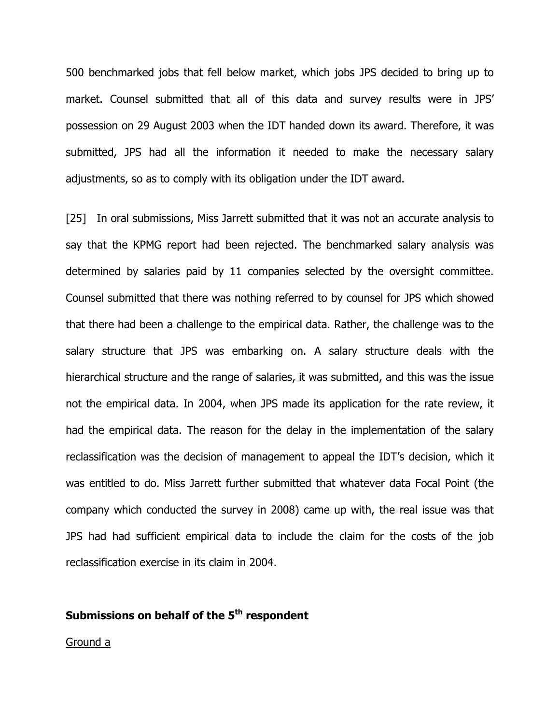500 benchmarked jobs that fell below market, which jobs JPS decided to bring up to market. Counsel submitted that all of this data and survey results were in JPS' possession on 29 August 2003 when the IDT handed down its award. Therefore, it was submitted, JPS had all the information it needed to make the necessary salary adjustments, so as to comply with its obligation under the IDT award.

[25] In oral submissions, Miss Jarrett submitted that it was not an accurate analysis to say that the KPMG report had been rejected. The benchmarked salary analysis was determined by salaries paid by 11 companies selected by the oversight committee. Counsel submitted that there was nothing referred to by counsel for JPS which showed that there had been a challenge to the empirical data. Rather, the challenge was to the salary structure that JPS was embarking on. A salary structure deals with the hierarchical structure and the range of salaries, it was submitted, and this was the issue not the empirical data. In 2004, when JPS made its application for the rate review, it had the empirical data. The reason for the delay in the implementation of the salary reclassification was the decision of management to appeal the IDT's decision, which it was entitled to do. Miss Jarrett further submitted that whatever data Focal Point (the company which conducted the survey in 2008) came up with, the real issue was that JPS had had sufficient empirical data to include the claim for the costs of the job reclassification exercise in its claim in 2004.

# **Submissions on behalf of the 5th respondent**

Ground a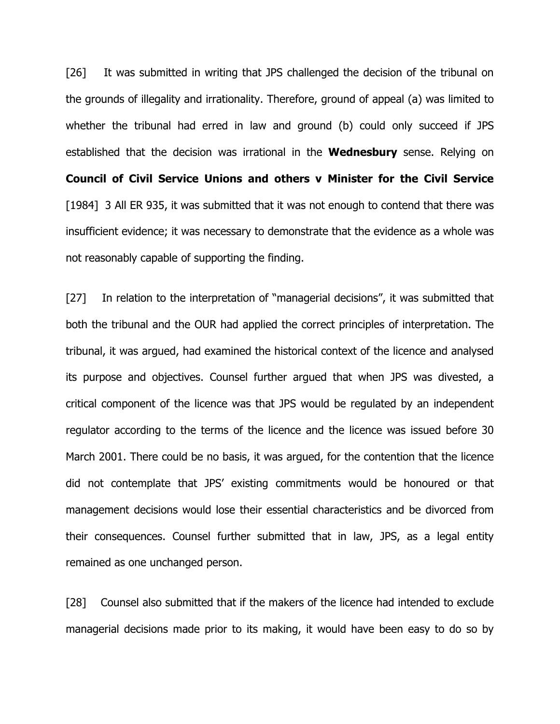[26] It was submitted in writing that JPS challenged the decision of the tribunal on the grounds of illegality and irrationality. Therefore, ground of appeal (a) was limited to whether the tribunal had erred in law and ground (b) could only succeed if JPS established that the decision was irrational in the **Wednesbury** sense. Relying on **Council of Civil Service Unions and others v Minister for the Civil Service** [1984] 3 All ER 935, it was submitted that it was not enough to contend that there was insufficient evidence; it was necessary to demonstrate that the evidence as a whole was not reasonably capable of supporting the finding.

[27] In relation to the interpretation of "managerial decisions", it was submitted that both the tribunal and the OUR had applied the correct principles of interpretation. The tribunal, it was argued, had examined the historical context of the licence and analysed its purpose and objectives. Counsel further argued that when JPS was divested, a critical component of the licence was that JPS would be regulated by an independent regulator according to the terms of the licence and the licence was issued before 30 March 2001. There could be no basis, it was argued, for the contention that the licence did not contemplate that JPS' existing commitments would be honoured or that management decisions would lose their essential characteristics and be divorced from their consequences. Counsel further submitted that in law, JPS, as a legal entity remained as one unchanged person.

[28] Counsel also submitted that if the makers of the licence had intended to exclude managerial decisions made prior to its making, it would have been easy to do so by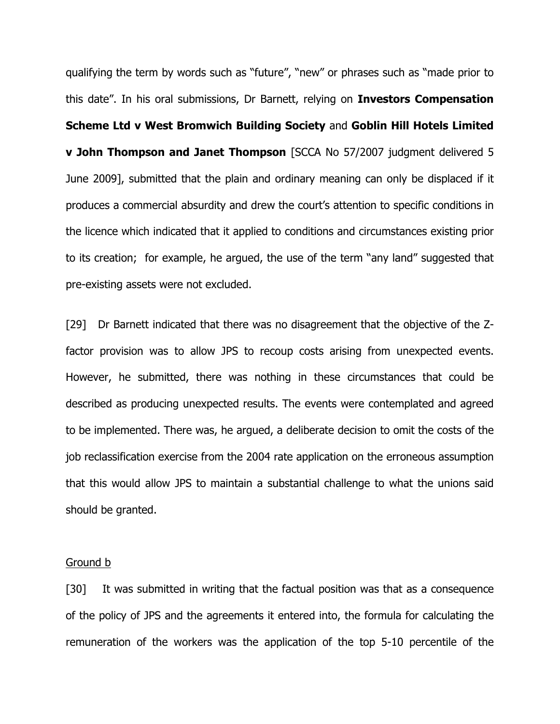qualifying the term by words such as "future", "new" or phrases such as "made prior to this date". In his oral submissions, Dr Barnett, relying on **Investors Compensation Scheme Ltd v West Bromwich Building Society** and **Goblin Hill Hotels Limited v John Thompson and Janet Thompson** [SCCA No 57/2007 judgment delivered 5 June 2009], submitted that the plain and ordinary meaning can only be displaced if it produces a commercial absurdity and drew the court's attention to specific conditions in the licence which indicated that it applied to conditions and circumstances existing prior to its creation; for example, he argued, the use of the term "any land" suggested that pre-existing assets were not excluded.

[29] Dr Barnett indicated that there was no disagreement that the objective of the Zfactor provision was to allow JPS to recoup costs arising from unexpected events. However, he submitted, there was nothing in these circumstances that could be described as producing unexpected results. The events were contemplated and agreed to be implemented. There was, he argued, a deliberate decision to omit the costs of the job reclassification exercise from the 2004 rate application on the erroneous assumption that this would allow JPS to maintain a substantial challenge to what the unions said should be granted.

### Ground b

[30] It was submitted in writing that the factual position was that as a consequence of the policy of JPS and the agreements it entered into, the formula for calculating the remuneration of the workers was the application of the top 5-10 percentile of the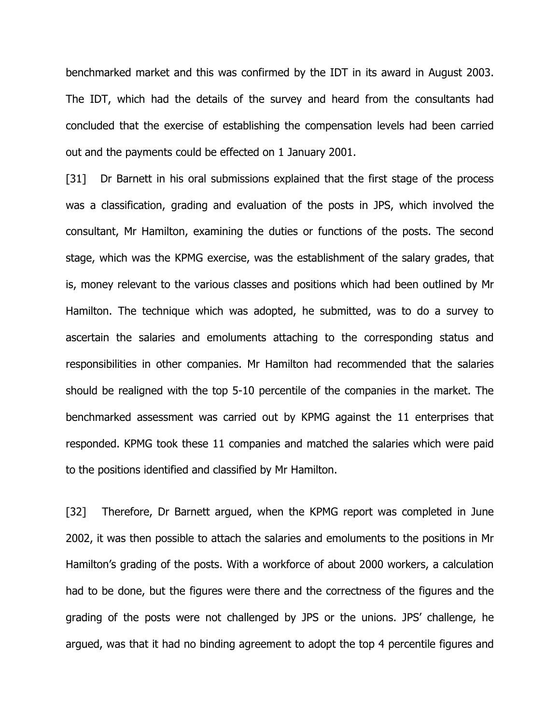benchmarked market and this was confirmed by the IDT in its award in August 2003. The IDT, which had the details of the survey and heard from the consultants had concluded that the exercise of establishing the compensation levels had been carried out and the payments could be effected on 1 January 2001.

[31] Dr Barnett in his oral submissions explained that the first stage of the process was a classification, grading and evaluation of the posts in JPS, which involved the consultant, Mr Hamilton, examining the duties or functions of the posts. The second stage, which was the KPMG exercise, was the establishment of the salary grades, that is, money relevant to the various classes and positions which had been outlined by Mr Hamilton. The technique which was adopted, he submitted, was to do a survey to ascertain the salaries and emoluments attaching to the corresponding status and responsibilities in other companies. Mr Hamilton had recommended that the salaries should be realigned with the top 5-10 percentile of the companies in the market. The benchmarked assessment was carried out by KPMG against the 11 enterprises that responded. KPMG took these 11 companies and matched the salaries which were paid to the positions identified and classified by Mr Hamilton.

[32] Therefore, Dr Barnett argued, when the KPMG report was completed in June 2002, it was then possible to attach the salaries and emoluments to the positions in Mr Hamilton's grading of the posts. With a workforce of about 2000 workers, a calculation had to be done, but the figures were there and the correctness of the figures and the grading of the posts were not challenged by JPS or the unions. JPS' challenge, he argued, was that it had no binding agreement to adopt the top 4 percentile figures and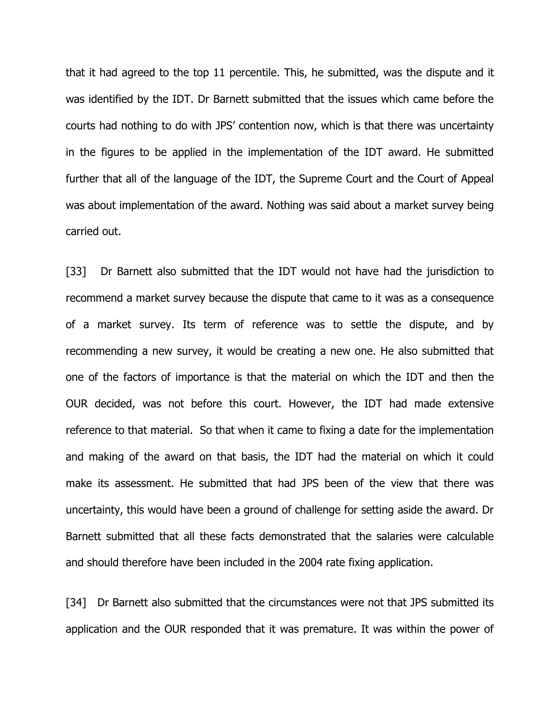that it had agreed to the top 11 percentile. This, he submitted, was the dispute and it was identified by the IDT. Dr Barnett submitted that the issues which came before the courts had nothing to do with JPS' contention now, which is that there was uncertainty in the figures to be applied in the implementation of the IDT award. He submitted further that all of the language of the IDT, the Supreme Court and the Court of Appeal was about implementation of the award. Nothing was said about a market survey being carried out.

[33] Dr Barnett also submitted that the IDT would not have had the jurisdiction to recommend a market survey because the dispute that came to it was as a consequence of a market survey. Its term of reference was to settle the dispute, and by recommending a new survey, it would be creating a new one. He also submitted that one of the factors of importance is that the material on which the IDT and then the OUR decided, was not before this court. However, the IDT had made extensive reference to that material. So that when it came to fixing a date for the implementation and making of the award on that basis, the IDT had the material on which it could make its assessment. He submitted that had JPS been of the view that there was uncertainty, this would have been a ground of challenge for setting aside the award. Dr Barnett submitted that all these facts demonstrated that the salaries were calculable and should therefore have been included in the 2004 rate fixing application.

[34] Dr Barnett also submitted that the circumstances were not that JPS submitted its application and the OUR responded that it was premature. It was within the power of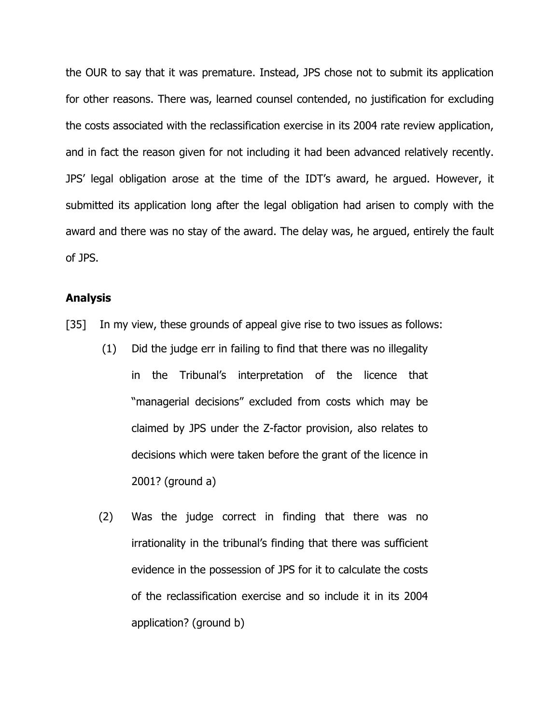the OUR to say that it was premature. Instead, JPS chose not to submit its application for other reasons. There was, learned counsel contended, no justification for excluding the costs associated with the reclassification exercise in its 2004 rate review application, and in fact the reason given for not including it had been advanced relatively recently. JPS' legal obligation arose at the time of the IDT's award, he argued. However, it submitted its application long after the legal obligation had arisen to comply with the award and there was no stay of the award. The delay was, he argued, entirely the fault of JPS.

# **Analysis**

- [35] In my view, these grounds of appeal give rise to two issues as follows:
	- (1) Did the judge err in failing to find that there was no illegality in the Tribunal's interpretation of the licence that "managerial decisions" excluded from costs which may be claimed by JPS under the Z-factor provision, also relates to decisions which were taken before the grant of the licence in 2001? (ground a)
	- (2) Was the judge correct in finding that there was no irrationality in the tribunal's finding that there was sufficient evidence in the possession of JPS for it to calculate the costs of the reclassification exercise and so include it in its 2004 application? (ground b)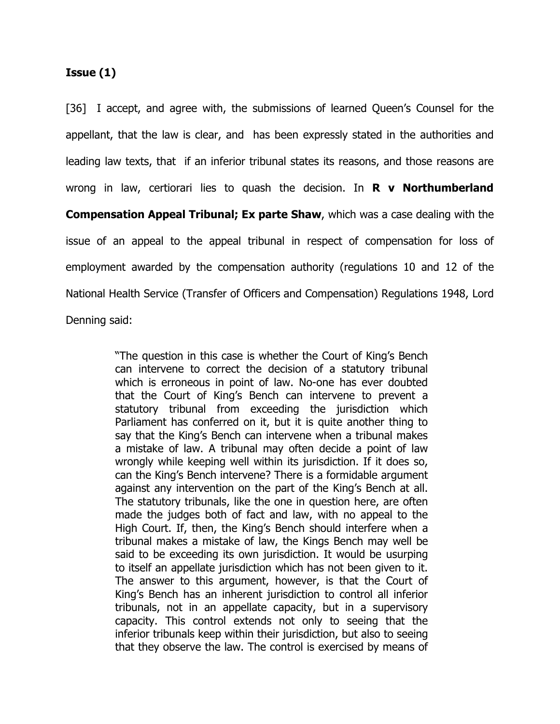# **Issue (1)**

[36] I accept, and agree with, the submissions of learned Queen's Counsel for the appellant, that the law is clear, and has been expressly stated in the authorities and leading law texts, that if an inferior tribunal states its reasons, and those reasons are wrong in law, certiorari lies to quash the decision. In **R v Northumberland Compensation Appeal Tribunal; Ex parte Shaw**, which was a case dealing with the issue of an appeal to the appeal tribunal in respect of compensation for loss of employment awarded by the compensation authority (regulations 10 and 12 of the National Health Service (Transfer of Officers and Compensation) Regulations 1948, Lord Denning said:

> "The question in this case is whether the Court of King's Bench can intervene to correct the decision of a statutory tribunal which is erroneous in point of law. No-one has ever doubted that the Court of King's Bench can intervene to prevent a statutory tribunal from exceeding the jurisdiction which Parliament has conferred on it, but it is quite another thing to say that the King's Bench can intervene when a tribunal makes a mistake of law. A tribunal may often decide a point of law wrongly while keeping well within its jurisdiction. If it does so, can the King's Bench intervene? There is a formidable argument against any intervention on the part of the King's Bench at all. The statutory tribunals, like the one in question here, are often made the judges both of fact and law, with no appeal to the High Court. If, then, the King's Bench should interfere when a tribunal makes a mistake of law, the Kings Bench may well be said to be exceeding its own jurisdiction. It would be usurping to itself an appellate jurisdiction which has not been given to it. The answer to this argument, however, is that the Court of King's Bench has an inherent jurisdiction to control all inferior tribunals, not in an appellate capacity, but in a supervisory capacity. This control extends not only to seeing that the inferior tribunals keep within their jurisdiction, but also to seeing that they observe the law. The control is exercised by means of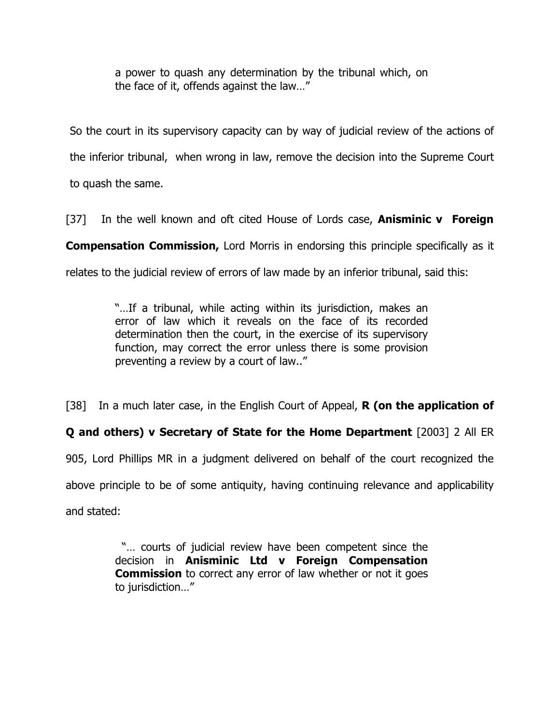a power to quash any determination by the tribunal which, on the face of it, offends against the law…"

So the court in its supervisory capacity can by way of judicial review of the actions of the inferior tribunal, when wrong in law, remove the decision into the Supreme Court to quash the same.

[37] In the well known and oft cited House of Lords case, **Anisminic v Foreign** 

**Compensation Commission,** Lord Morris in endorsing this principle specifically as it

relates to the judicial review of errors of law made by an inferior tribunal, said this:

"…If a tribunal, while acting within its jurisdiction, makes an error of law which it reveals on the face of its recorded determination then the court, in the exercise of its supervisory function, may correct the error unless there is some provision preventing a review by a court of law.."

[38] In a much later case, in the English Court of Appeal, **R (on the application of** 

**Q and others) v Secretary of State for the Home Department** [2003] 2 All ER

905, Lord Phillips MR in a judgment delivered on behalf of the court recognized the

above principle to be of some antiquity, having continuing relevance and applicability

and stated:

 "… courts of judicial review have been competent since the decision in **Anisminic Ltd v Foreign Compensation Commission** to correct any error of law whether or not it goes to jurisdiction…"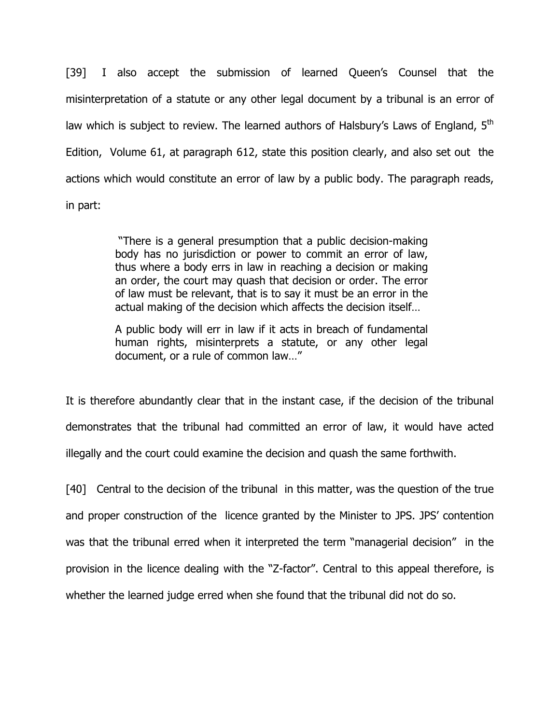[39] I also accept the submission of learned Queen's Counsel that the misinterpretation of a statute or any other legal document by a tribunal is an error of law which is subject to review. The learned authors of Halsbury's Laws of England, 5<sup>th</sup> Edition, Volume 61, at paragraph 612, state this position clearly, and also set out the actions which would constitute an error of law by a public body. The paragraph reads, in part:

> "There is a general presumption that a public decision-making body has no jurisdiction or power to commit an error of law, thus where a body errs in law in reaching a decision or making an order, the court may quash that decision or order. The error of law must be relevant, that is to say it must be an error in the actual making of the decision which affects the decision itself…

> A public body will err in law if it acts in breach of fundamental human rights, misinterprets a statute, or any other legal document, or a rule of common law…"

It is therefore abundantly clear that in the instant case, if the decision of the tribunal demonstrates that the tribunal had committed an error of law, it would have acted illegally and the court could examine the decision and quash the same forthwith.

[40] Central to the decision of the tribunal in this matter, was the question of the true and proper construction of the licence granted by the Minister to JPS. JPS' contention was that the tribunal erred when it interpreted the term "managerial decision" in the provision in the licence dealing with the "Z-factor". Central to this appeal therefore, is whether the learned judge erred when she found that the tribunal did not do so.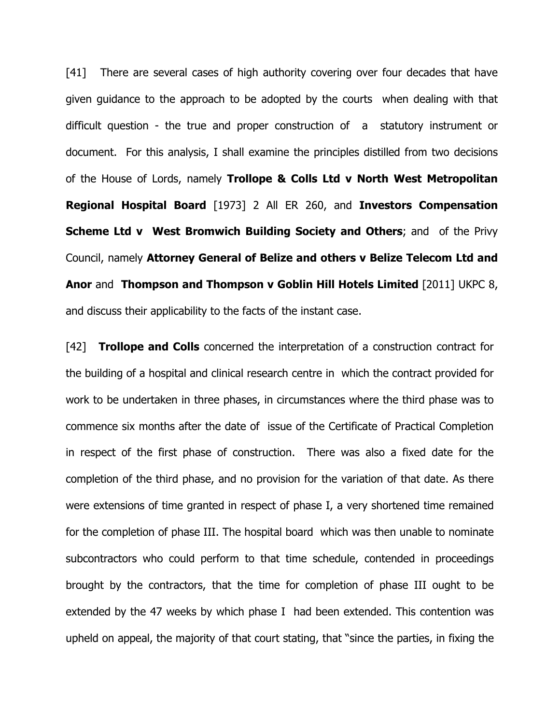[41] There are several cases of high authority covering over four decades that have given guidance to the approach to be adopted by the courts when dealing with that difficult question - the true and proper construction of a statutory instrument or document. For this analysis, I shall examine the principles distilled from two decisions of the House of Lords, namely **Trollope & Colls Ltd v North West Metropolitan Regional Hospital Board** [1973] 2 All ER 260, and **Investors Compensation Scheme Ltd v West Bromwich Building Society and Others**; and of the Privy Council, namely **Attorney General of Belize and others v Belize Telecom Ltd and Anor** and **Thompson and Thompson v Goblin Hill Hotels Limited** [2011] UKPC 8, and discuss their applicability to the facts of the instant case.

[42] **Trollope and Colls** concerned the interpretation of a construction contract for the building of a hospital and clinical research centre in which the contract provided for work to be undertaken in three phases, in circumstances where the third phase was to commence six months after the date of issue of the Certificate of Practical Completion in respect of the first phase of construction. There was also a fixed date for the completion of the third phase, and no provision for the variation of that date. As there were extensions of time granted in respect of phase I, a very shortened time remained for the completion of phase III. The hospital board which was then unable to nominate subcontractors who could perform to that time schedule, contended in proceedings brought by the contractors, that the time for completion of phase III ought to be extended by the 47 weeks by which phase I had been extended. This contention was upheld on appeal, the majority of that court stating, that "since the parties, in fixing the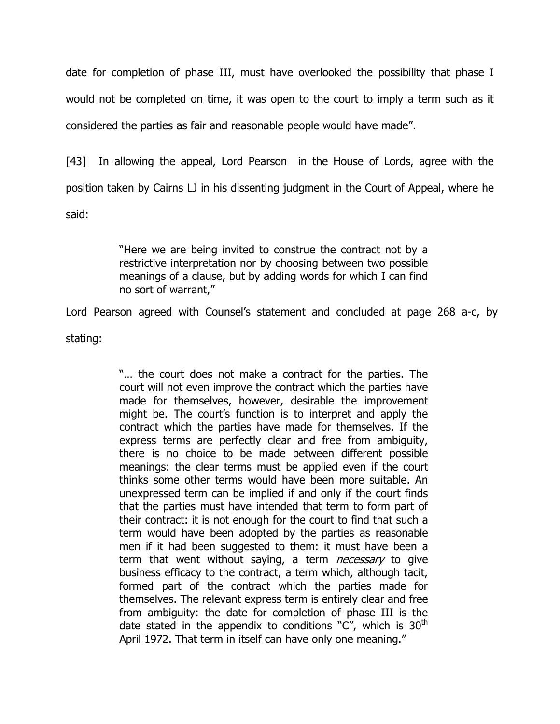date for completion of phase III, must have overlooked the possibility that phase I would not be completed on time, it was open to the court to imply a term such as it considered the parties as fair and reasonable people would have made".

[43] In allowing the appeal, Lord Pearson in the House of Lords, agree with the position taken by Cairns LJ in his dissenting judgment in the Court of Appeal, where he said:

> "Here we are being invited to construe the contract not by a restrictive interpretation nor by choosing between two possible meanings of a clause, but by adding words for which I can find no sort of warrant,"

Lord Pearson agreed with Counsel's statement and concluded at page 268 a-c, by

stating:

"… the court does not make a contract for the parties. The court will not even improve the contract which the parties have made for themselves, however, desirable the improvement might be. The court's function is to interpret and apply the contract which the parties have made for themselves. If the express terms are perfectly clear and free from ambiguity, there is no choice to be made between different possible meanings: the clear terms must be applied even if the court thinks some other terms would have been more suitable. An unexpressed term can be implied if and only if the court finds that the parties must have intended that term to form part of their contract: it is not enough for the court to find that such a term would have been adopted by the parties as reasonable men if it had been suggested to them: it must have been a term that went without saying, a term *necessary* to give business efficacy to the contract, a term which, although tacit, formed part of the contract which the parties made for themselves. The relevant express term is entirely clear and free from ambiguity: the date for completion of phase III is the date stated in the appendix to conditions "C", which is 30<sup>th</sup> April 1972. That term in itself can have only one meaning."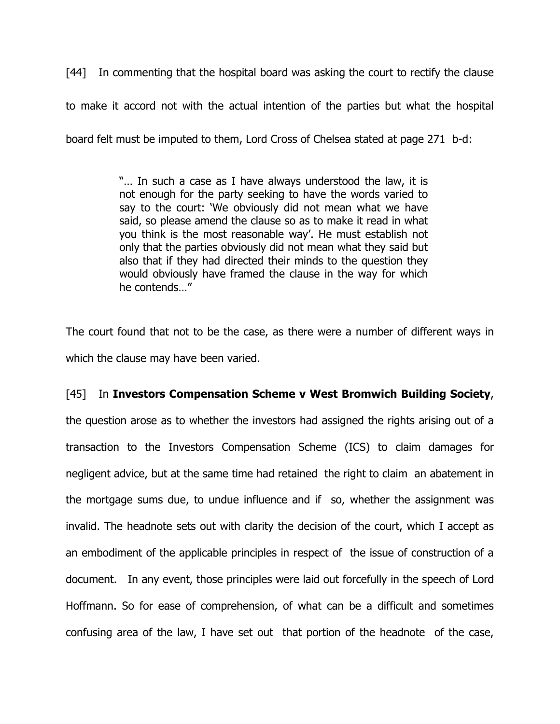[44] In commenting that the hospital board was asking the court to rectify the clause

to make it accord not with the actual intention of the parties but what the hospital

board felt must be imputed to them, Lord Cross of Chelsea stated at page 271 b-d:

"… In such a case as I have always understood the law, it is not enough for the party seeking to have the words varied to say to the court: 'We obviously did not mean what we have said, so please amend the clause so as to make it read in what you think is the most reasonable way'. He must establish not only that the parties obviously did not mean what they said but also that if they had directed their minds to the question they would obviously have framed the clause in the way for which he contends…"

The court found that not to be the case, as there were a number of different ways in which the clause may have been varied.

# [45] In **Investors Compensation Scheme v West Bromwich Building Society**,

the question arose as to whether the investors had assigned the rights arising out of a transaction to the Investors Compensation Scheme (ICS) to claim damages for negligent advice, but at the same time had retained the right to claim an abatement in the mortgage sums due, to undue influence and if so, whether the assignment was invalid. The headnote sets out with clarity the decision of the court, which I accept as an embodiment of the applicable principles in respect of the issue of construction of a document. In any event, those principles were laid out forcefully in the speech of Lord Hoffmann. So for ease of comprehension, of what can be a difficult and sometimes confusing area of the law, I have set out that portion of the headnote of the case,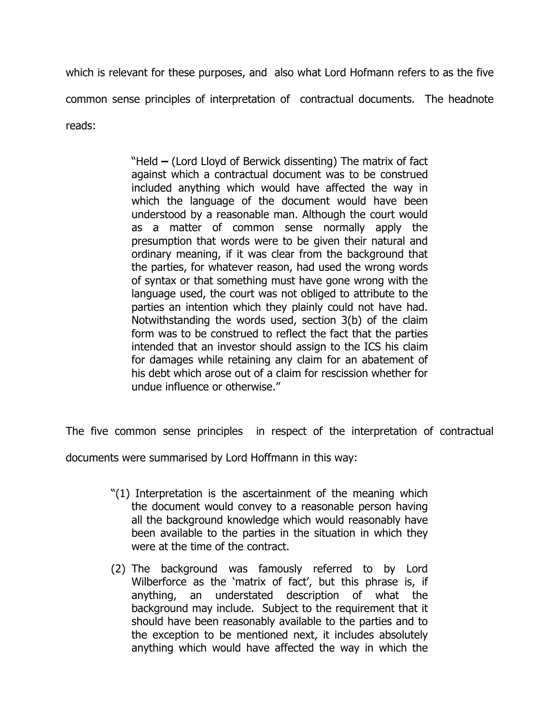which is relevant for these purposes, and also what Lord Hofmann refers to as the five common sense principles of interpretation of contractual documents. The headnote

reads:

"Held **–** (Lord Lloyd of Berwick dissenting) The matrix of fact against which a contractual document was to be construed included anything which would have affected the way in which the language of the document would have been understood by a reasonable man. Although the court would as a matter of common sense normally apply the presumption that words were to be given their natural and ordinary meaning, if it was clear from the background that the parties, for whatever reason, had used the wrong words of syntax or that something must have gone wrong with the language used, the court was not obliged to attribute to the parties an intention which they plainly could not have had. Notwithstanding the words used, section 3(b) of the claim form was to be construed to reflect the fact that the parties intended that an investor should assign to the ICS his claim for damages while retaining any claim for an abatement of his debt which arose out of a claim for rescission whether for undue influence or otherwise."

The five common sense principles in respect of the interpretation of contractual

documents were summarised by Lord Hoffmann in this way:

- "(1) Interpretation is the ascertainment of the meaning which the document would convey to a reasonable person having all the background knowledge which would reasonably have been available to the parties in the situation in which they were at the time of the contract.
- (2) The background was famously referred to by Lord Wilberforce as the 'matrix of fact', but this phrase is, if anything, an understated description of what the background may include. Subject to the requirement that it should have been reasonably available to the parties and to the exception to be mentioned next, it includes absolutely anything which would have affected the way in which the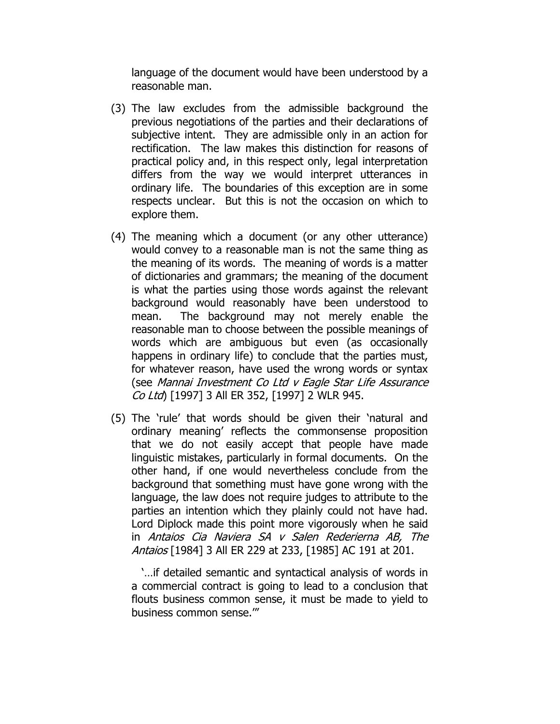language of the document would have been understood by a reasonable man.

- (3) The law excludes from the admissible background the previous negotiations of the parties and their declarations of subjective intent. They are admissible only in an action for rectification. The law makes this distinction for reasons of practical policy and, in this respect only, legal interpretation differs from the way we would interpret utterances in ordinary life. The boundaries of this exception are in some respects unclear. But this is not the occasion on which to explore them.
- (4) The meaning which a document (or any other utterance) would convey to a reasonable man is not the same thing as the meaning of its words. The meaning of words is a matter of dictionaries and grammars; the meaning of the document is what the parties using those words against the relevant background would reasonably have been understood to mean. The background may not merely enable the reasonable man to choose between the possible meanings of words which are ambiguous but even (as occasionally happens in ordinary life) to conclude that the parties must, for whatever reason, have used the wrong words or syntax (see Mannai Investment Co Ltd v Eagle Star Life Assurance Co Ltd) [1997] 3 All ER 352, [1997] 2 WLR 945.
- (5) The 'rule' that words should be given their 'natural and ordinary meaning' reflects the commonsense proposition that we do not easily accept that people have made linguistic mistakes, particularly in formal documents. On the other hand, if one would nevertheless conclude from the background that something must have gone wrong with the language, the law does not require judges to attribute to the parties an intention which they plainly could not have had. Lord Diplock made this point more vigorously when he said in Antaios Cia Naviera SA v Salen Rederierna AB, The Antaios [1984] 3 All ER 229 at 233, [1985] AC 191 at 201.

 '…if detailed semantic and syntactical analysis of words in a commercial contract is going to lead to a conclusion that flouts business common sense, it must be made to yield to business common sense.'"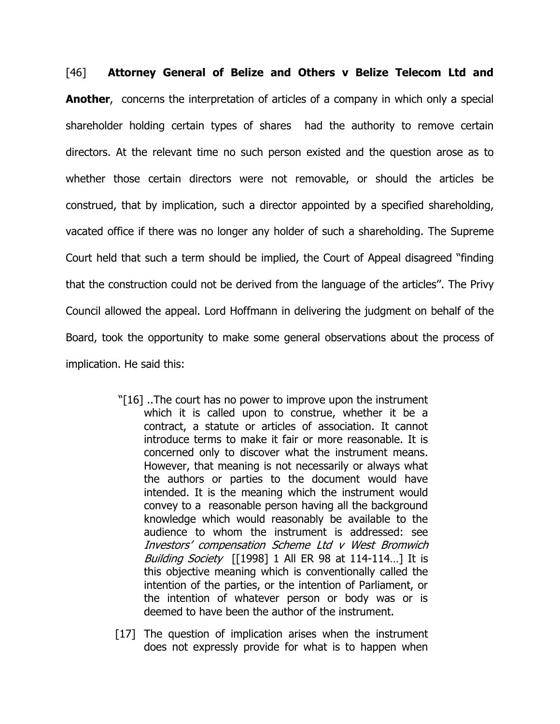[46] **Attorney General of Belize and Others v Belize Telecom Ltd and Another**, concerns the interpretation of articles of a company in which only a special shareholder holding certain types of shares had the authority to remove certain directors. At the relevant time no such person existed and the question arose as to whether those certain directors were not removable, or should the articles be construed, that by implication, such a director appointed by a specified shareholding, vacated office if there was no longer any holder of such a shareholding. The Supreme Court held that such a term should be implied, the Court of Appeal disagreed "finding that the construction could not be derived from the language of the articles''. The Privy Council allowed the appeal. Lord Hoffmann in delivering the judgment on behalf of the Board, took the opportunity to make some general observations about the process of implication. He said this:

- "[16] ..The court has no power to improve upon the instrument which it is called upon to construe, whether it be a contract, a statute or articles of association. It cannot introduce terms to make it fair or more reasonable. It is concerned only to discover what the instrument means. However, that meaning is not necessarily or always what the authors or parties to the document would have intended. It is the meaning which the instrument would convey to a reasonable person having all the background knowledge which would reasonably be available to the audience to whom the instrument is addressed: see Investors' compensation Scheme Ltd v West Bromwich Building Society [[1998] 1 All ER 98 at 114-114...] It is this objective meaning which is conventionally called the intention of the parties, or the intention of Parliament, or the intention of whatever person or body was or is deemed to have been the author of the instrument.
- [17] The question of implication arises when the instrument does not expressly provide for what is to happen when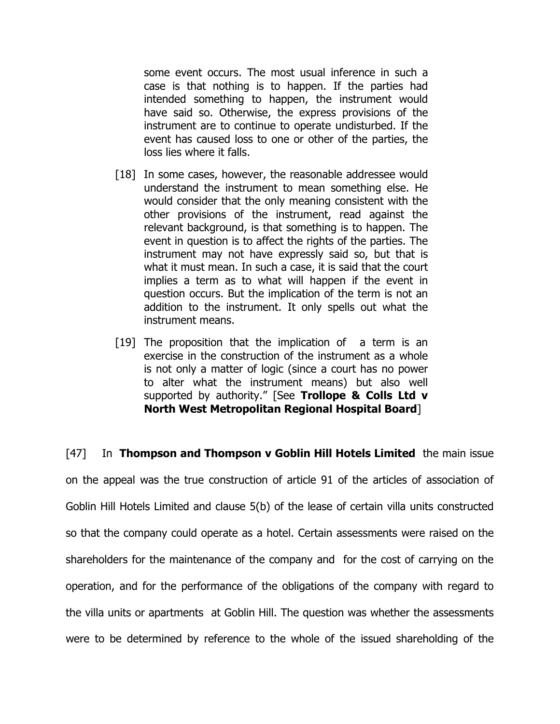some event occurs. The most usual inference in such a case is that nothing is to happen. If the parties had intended something to happen, the instrument would have said so. Otherwise, the express provisions of the instrument are to continue to operate undisturbed. If the event has caused loss to one or other of the parties, the loss lies where it falls.

- [18] In some cases, however, the reasonable addressee would understand the instrument to mean something else. He would consider that the only meaning consistent with the other provisions of the instrument, read against the relevant background, is that something is to happen. The event in question is to affect the rights of the parties. The instrument may not have expressly said so, but that is what it must mean. In such a case, it is said that the court implies a term as to what will happen if the event in question occurs. But the implication of the term is not an addition to the instrument. It only spells out what the instrument means.
- [19] The proposition that the implication of a term is an exercise in the construction of the instrument as a whole is not only a matter of logic (since a court has no power to alter what the instrument means) but also well supported by authority." [See **Trollope & Colls Ltd v North West Metropolitan Regional Hospital Board**]

[47] In **Thompson and Thompson v Goblin Hill Hotels Limited** the main issue on the appeal was the true construction of article 91 of the articles of association of Goblin Hill Hotels Limited and clause 5(b) of the lease of certain villa units constructed so that the company could operate as a hotel. Certain assessments were raised on the shareholders for the maintenance of the company and for the cost of carrying on the operation, and for the performance of the obligations of the company with regard to the villa units or apartments at Goblin Hill. The question was whether the assessments were to be determined by reference to the whole of the issued shareholding of the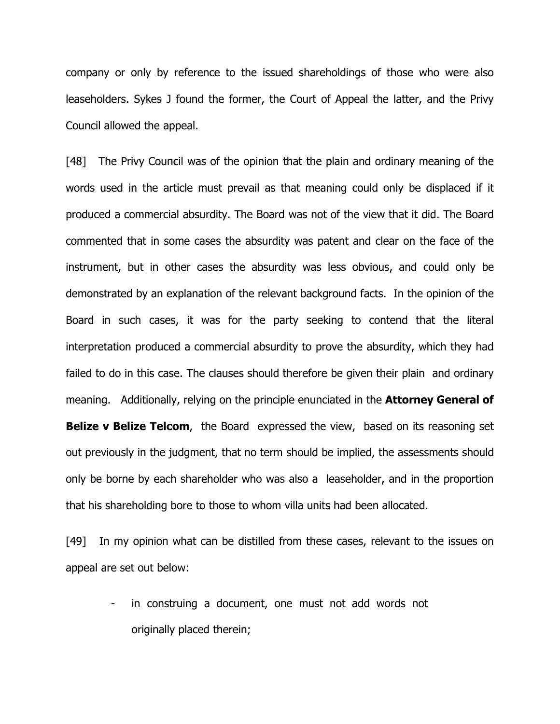company or only by reference to the issued shareholdings of those who were also leaseholders. Sykes J found the former, the Court of Appeal the latter, and the Privy Council allowed the appeal.

[48] The Privy Council was of the opinion that the plain and ordinary meaning of the words used in the article must prevail as that meaning could only be displaced if it produced a commercial absurdity. The Board was not of the view that it did. The Board commented that in some cases the absurdity was patent and clear on the face of the instrument, but in other cases the absurdity was less obvious, and could only be demonstrated by an explanation of the relevant background facts. In the opinion of the Board in such cases, it was for the party seeking to contend that the literal interpretation produced a commercial absurdity to prove the absurdity, which they had failed to do in this case. The clauses should therefore be given their plain and ordinary meaning. Additionally, relying on the principle enunciated in the **Attorney General of Belize v Belize Telcom**, the Board expressed the view, based on its reasoning set out previously in the judgment, that no term should be implied, the assessments should only be borne by each shareholder who was also a leaseholder, and in the proportion that his shareholding bore to those to whom villa units had been allocated.

[49] In my opinion what can be distilled from these cases, relevant to the issues on appeal are set out below:

> - in construing a document, one must not add words not originally placed therein;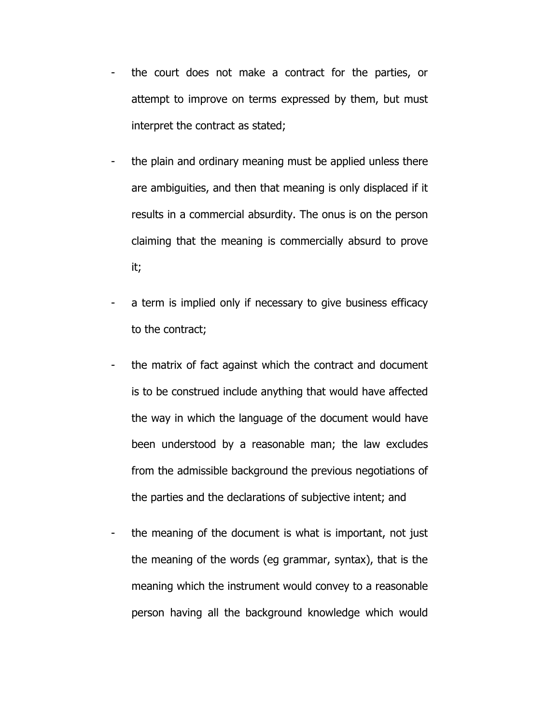- the court does not make a contract for the parties, or attempt to improve on terms expressed by them, but must interpret the contract as stated;
- the plain and ordinary meaning must be applied unless there are ambiguities, and then that meaning is only displaced if it results in a commercial absurdity. The onus is on the person claiming that the meaning is commercially absurd to prove it;
- a term is implied only if necessary to give business efficacy to the contract;
- the matrix of fact against which the contract and document is to be construed include anything that would have affected the way in which the language of the document would have been understood by a reasonable man; the law excludes from the admissible background the previous negotiations of the parties and the declarations of subjective intent; and
- the meaning of the document is what is important, not just the meaning of the words (eg grammar, syntax), that is the meaning which the instrument would convey to a reasonable person having all the background knowledge which would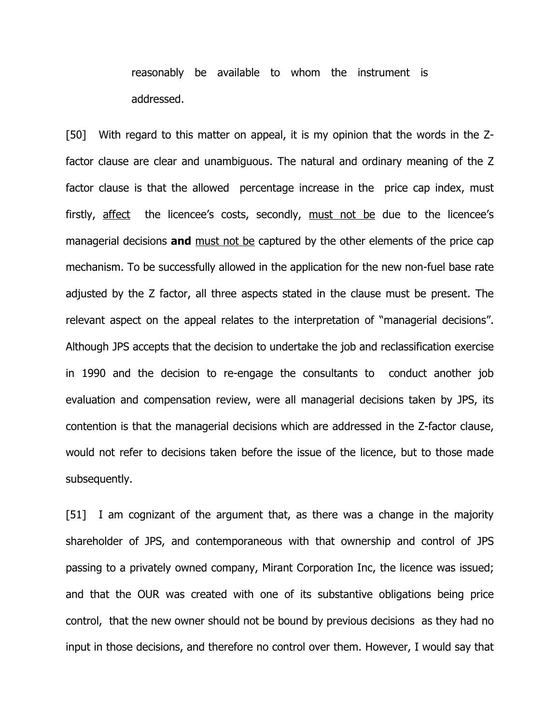reasonably be available to whom the instrument is addressed.

[50] With regard to this matter on appeal, it is my opinion that the words in the Zfactor clause are clear and unambiguous. The natural and ordinary meaning of the Z factor clause is that the allowed percentage increase in the price cap index, must firstly, affect the licencee's costs, secondly, must not be due to the licencee's managerial decisions **and** must not be captured by the other elements of the price cap mechanism. To be successfully allowed in the application for the new non-fuel base rate adjusted by the Z factor, all three aspects stated in the clause must be present. The relevant aspect on the appeal relates to the interpretation of "managerial decisions". Although JPS accepts that the decision to undertake the job and reclassification exercise in 1990 and the decision to re-engage the consultants to conduct another job evaluation and compensation review, were all managerial decisions taken by JPS, its contention is that the managerial decisions which are addressed in the Z-factor clause, would not refer to decisions taken before the issue of the licence, but to those made subsequently.

[51] I am cognizant of the argument that, as there was a change in the majority shareholder of JPS, and contemporaneous with that ownership and control of JPS passing to a privately owned company, Mirant Corporation Inc, the licence was issued; and that the OUR was created with one of its substantive obligations being price control, that the new owner should not be bound by previous decisions as they had no input in those decisions, and therefore no control over them. However, I would say that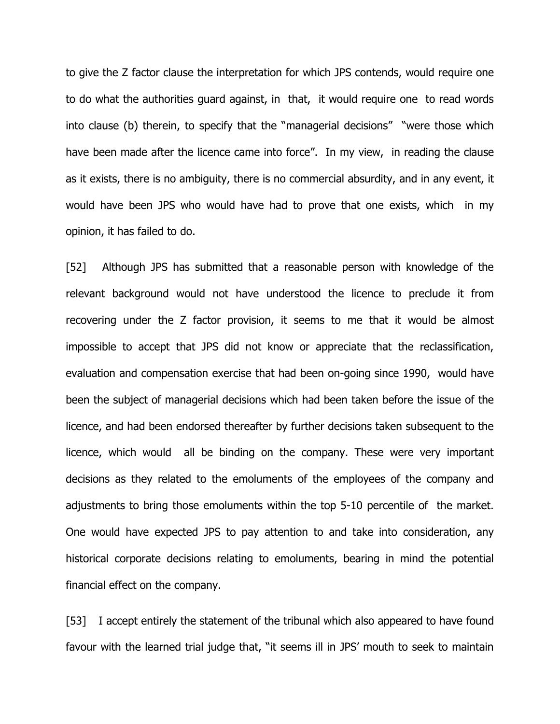to give the Z factor clause the interpretation for which JPS contends, would require one to do what the authorities guard against, in that, it would require one to read words into clause (b) therein, to specify that the "managerial decisions" "were those which have been made after the licence came into force". In my view, in reading the clause as it exists, there is no ambiguity, there is no commercial absurdity, and in any event, it would have been JPS who would have had to prove that one exists, which in my opinion, it has failed to do.

[52] Although JPS has submitted that a reasonable person with knowledge of the relevant background would not have understood the licence to preclude it from recovering under the Z factor provision, it seems to me that it would be almost impossible to accept that JPS did not know or appreciate that the reclassification, evaluation and compensation exercise that had been on-going since 1990, would have been the subject of managerial decisions which had been taken before the issue of the licence, and had been endorsed thereafter by further decisions taken subsequent to the licence, which would all be binding on the company. These were very important decisions as they related to the emoluments of the employees of the company and adjustments to bring those emoluments within the top 5-10 percentile of the market. One would have expected JPS to pay attention to and take into consideration, any historical corporate decisions relating to emoluments, bearing in mind the potential financial effect on the company.

[53] I accept entirely the statement of the tribunal which also appeared to have found favour with the learned trial judge that, "it seems ill in JPS' mouth to seek to maintain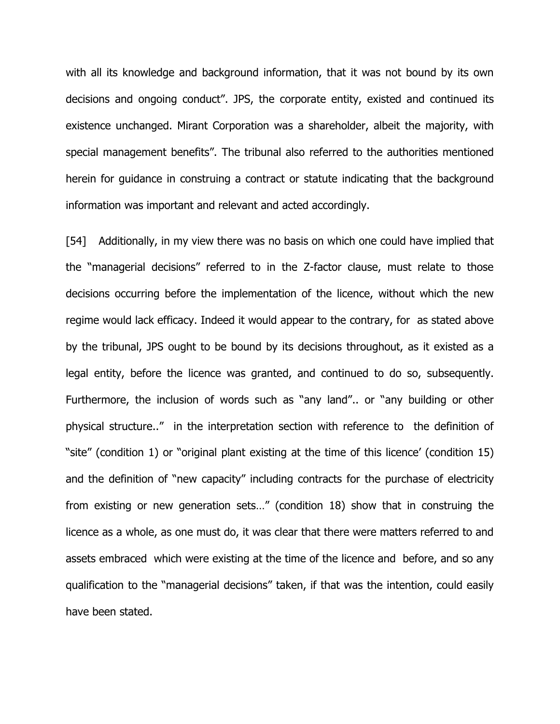with all its knowledge and background information, that it was not bound by its own decisions and ongoing conduct". JPS, the corporate entity, existed and continued its existence unchanged. Mirant Corporation was a shareholder, albeit the majority, with special management benefits". The tribunal also referred to the authorities mentioned herein for guidance in construing a contract or statute indicating that the background information was important and relevant and acted accordingly.

[54] Additionally, in my view there was no basis on which one could have implied that the "managerial decisions" referred to in the Z-factor clause, must relate to those decisions occurring before the implementation of the licence, without which the new regime would lack efficacy. Indeed it would appear to the contrary, for as stated above by the tribunal, JPS ought to be bound by its decisions throughout, as it existed as a legal entity, before the licence was granted, and continued to do so, subsequently. Furthermore, the inclusion of words such as "any land".. or "any building or other physical structure.." in the interpretation section with reference to the definition of "site" (condition 1) or "original plant existing at the time of this licence' (condition 15) and the definition of "new capacity" including contracts for the purchase of electricity from existing or new generation sets…" (condition 18) show that in construing the licence as a whole, as one must do, it was clear that there were matters referred to and assets embraced which were existing at the time of the licence and before, and so any qualification to the "managerial decisions" taken, if that was the intention, could easily have been stated.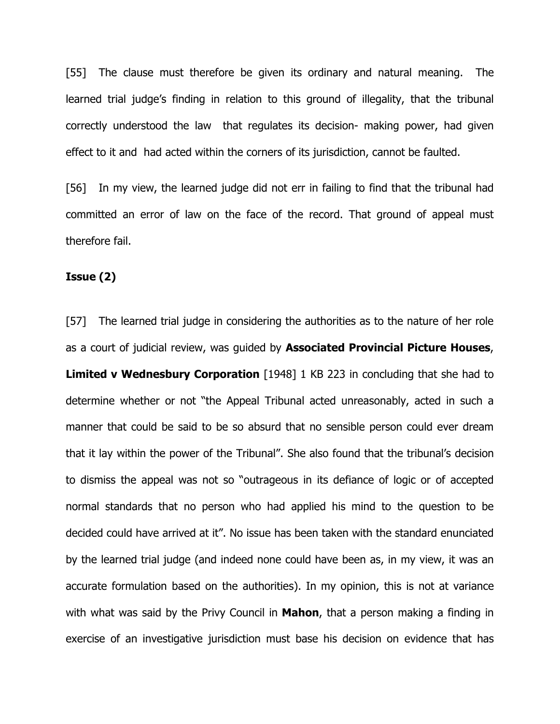[55] The clause must therefore be given its ordinary and natural meaning. The learned trial judge's finding in relation to this ground of illegality, that the tribunal correctly understood the law that regulates its decision- making power, had given effect to it and had acted within the corners of its jurisdiction, cannot be faulted.

[56] In my view, the learned judge did not err in failing to find that the tribunal had committed an error of law on the face of the record. That ground of appeal must therefore fail.

# **Issue (2)**

[57] The learned trial judge in considering the authorities as to the nature of her role as a court of judicial review, was guided by **Associated Provincial Picture Houses**, **Limited v Wednesbury Corporation** [1948] 1 KB 223 in concluding that she had to determine whether or not "the Appeal Tribunal acted unreasonably, acted in such a manner that could be said to be so absurd that no sensible person could ever dream that it lay within the power of the Tribunal". She also found that the tribunal's decision to dismiss the appeal was not so "outrageous in its defiance of logic or of accepted normal standards that no person who had applied his mind to the question to be decided could have arrived at it". No issue has been taken with the standard enunciated by the learned trial judge (and indeed none could have been as, in my view, it was an accurate formulation based on the authorities). In my opinion, this is not at variance with what was said by the Privy Council in **Mahon**, that a person making a finding in exercise of an investigative jurisdiction must base his decision on evidence that has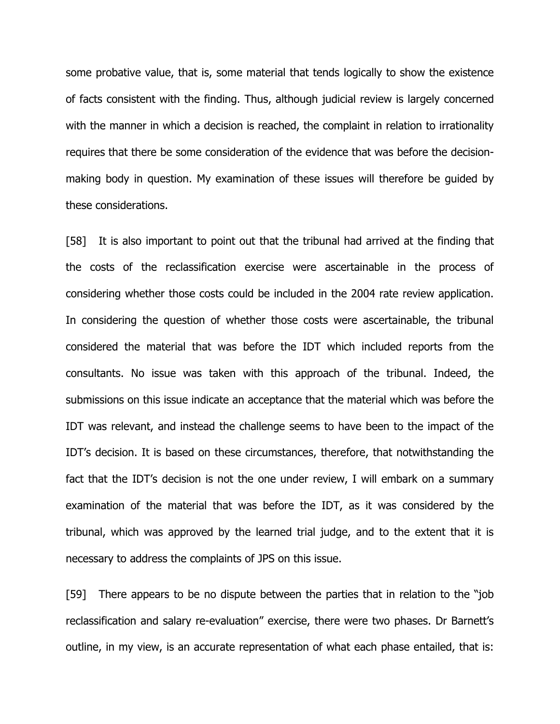some probative value, that is, some material that tends logically to show the existence of facts consistent with the finding. Thus, although judicial review is largely concerned with the manner in which a decision is reached, the complaint in relation to irrationality requires that there be some consideration of the evidence that was before the decisionmaking body in question. My examination of these issues will therefore be guided by these considerations.

[58] It is also important to point out that the tribunal had arrived at the finding that the costs of the reclassification exercise were ascertainable in the process of considering whether those costs could be included in the 2004 rate review application. In considering the question of whether those costs were ascertainable, the tribunal considered the material that was before the IDT which included reports from the consultants. No issue was taken with this approach of the tribunal. Indeed, the submissions on this issue indicate an acceptance that the material which was before the IDT was relevant, and instead the challenge seems to have been to the impact of the IDT's decision. It is based on these circumstances, therefore, that notwithstanding the fact that the IDT's decision is not the one under review, I will embark on a summary examination of the material that was before the IDT, as it was considered by the tribunal, which was approved by the learned trial judge, and to the extent that it is necessary to address the complaints of JPS on this issue.

[59] There appears to be no dispute between the parties that in relation to the "job reclassification and salary re-evaluation" exercise, there were two phases. Dr Barnett's outline, in my view, is an accurate representation of what each phase entailed, that is: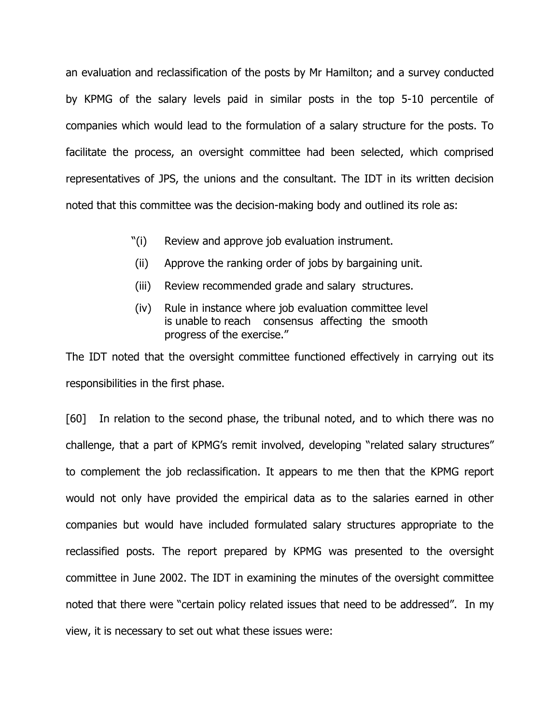an evaluation and reclassification of the posts by Mr Hamilton; and a survey conducted by KPMG of the salary levels paid in similar posts in the top 5-10 percentile of companies which would lead to the formulation of a salary structure for the posts. To facilitate the process, an oversight committee had been selected, which comprised representatives of JPS, the unions and the consultant. The IDT in its written decision noted that this committee was the decision-making body and outlined its role as:

- "(i) Review and approve job evaluation instrument.
- (ii) Approve the ranking order of jobs by bargaining unit.
- (iii) Review recommended grade and salary structures.
- (iv) Rule in instance where job evaluation committee level is unable to reach consensus affecting the smooth progress of the exercise."

The IDT noted that the oversight committee functioned effectively in carrying out its responsibilities in the first phase.

[60] In relation to the second phase, the tribunal noted, and to which there was no challenge, that a part of KPMG's remit involved, developing "related salary structures" to complement the job reclassification. It appears to me then that the KPMG report would not only have provided the empirical data as to the salaries earned in other companies but would have included formulated salary structures appropriate to the reclassified posts. The report prepared by KPMG was presented to the oversight committee in June 2002. The IDT in examining the minutes of the oversight committee noted that there were "certain policy related issues that need to be addressed". In my view, it is necessary to set out what these issues were: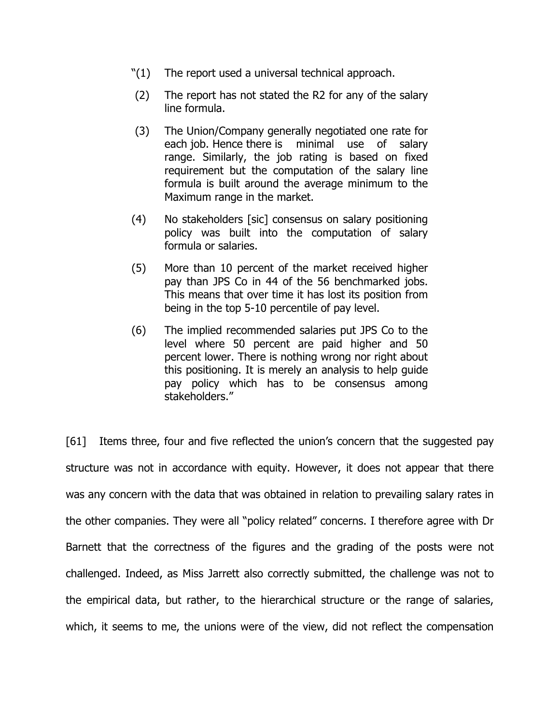- "(1) The report used a universal technical approach.
- (2) The report has not stated the R2 for any of the salary line formula.
- (3) The Union/Company generally negotiated one rate for each job. Hence there is minimal use of salary range. Similarly, the job rating is based on fixed requirement but the computation of the salary line formula is built around the average minimum to the Maximum range in the market.
- (4) No stakeholders [sic] consensus on salary positioning policy was built into the computation of salary formula or salaries.
- (5) More than 10 percent of the market received higher pay than JPS Co in 44 of the 56 benchmarked jobs. This means that over time it has lost its position from being in the top 5-10 percentile of pay level.
- (6) The implied recommended salaries put JPS Co to the level where 50 percent are paid higher and 50 percent lower. There is nothing wrong nor right about this positioning. It is merely an analysis to help guide pay policy which has to be consensus among stakeholders."

[61] Items three, four and five reflected the union's concern that the suggested pay structure was not in accordance with equity. However, it does not appear that there was any concern with the data that was obtained in relation to prevailing salary rates in the other companies. They were all "policy related" concerns. I therefore agree with Dr Barnett that the correctness of the figures and the grading of the posts were not challenged. Indeed, as Miss Jarrett also correctly submitted, the challenge was not to the empirical data, but rather, to the hierarchical structure or the range of salaries, which, it seems to me, the unions were of the view, did not reflect the compensation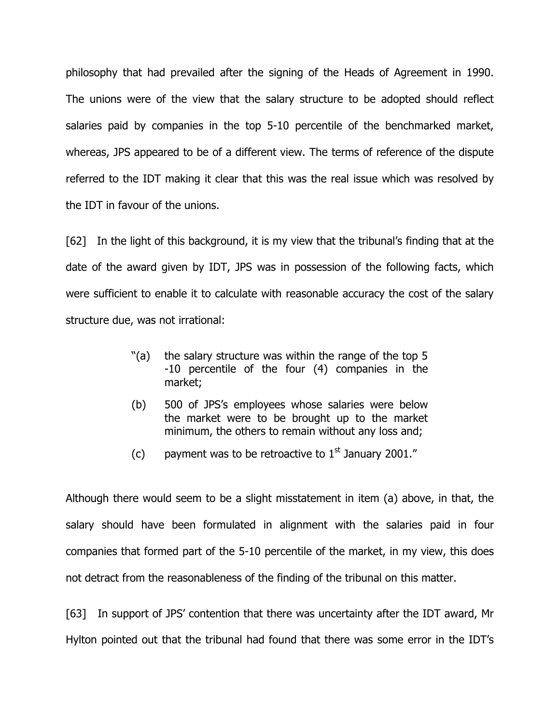philosophy that had prevailed after the signing of the Heads of Agreement in 1990. The unions were of the view that the salary structure to be adopted should reflect salaries paid by companies in the top 5-10 percentile of the benchmarked market, whereas, JPS appeared to be of a different view. The terms of reference of the dispute referred to the IDT making it clear that this was the real issue which was resolved by the IDT in favour of the unions.

[62] In the light of this background, it is my view that the tribunal's finding that at the date of the award given by IDT, JPS was in possession of the following facts, which were sufficient to enable it to calculate with reasonable accuracy the cost of the salary structure due, was not irrational:

- "(a) the salary structure was within the range of the top 5 -10 percentile of the four (4) companies in the market;
- (b) 500 of JPS's employees whose salaries were below the market were to be brought up to the market minimum, the others to remain without any loss and;
- (c) payment was to be retroactive to  $1<sup>st</sup>$  January 2001."

Although there would seem to be a slight misstatement in item (a) above, in that, the salary should have been formulated in alignment with the salaries paid in four companies that formed part of the 5-10 percentile of the market, in my view, this does not detract from the reasonableness of the finding of the tribunal on this matter.

[63] In support of JPS' contention that there was uncertainty after the IDT award, Mr Hylton pointed out that the tribunal had found that there was some error in the IDT's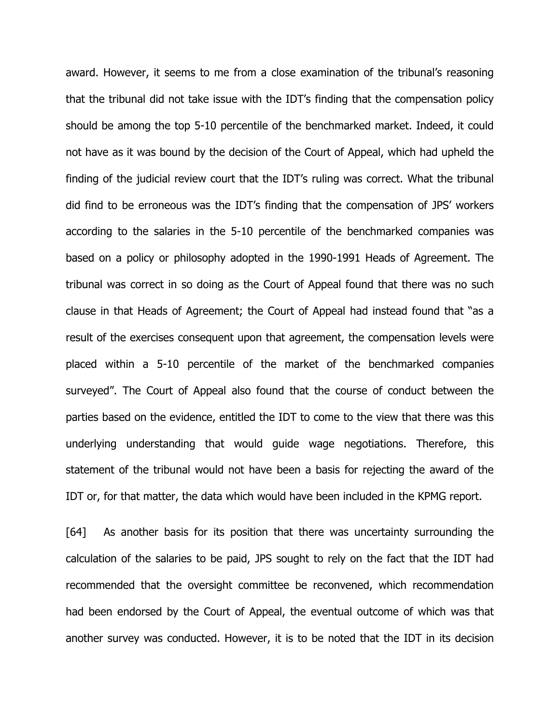award. However, it seems to me from a close examination of the tribunal's reasoning that the tribunal did not take issue with the IDT's finding that the compensation policy should be among the top 5-10 percentile of the benchmarked market. Indeed, it could not have as it was bound by the decision of the Court of Appeal, which had upheld the finding of the judicial review court that the IDT's ruling was correct. What the tribunal did find to be erroneous was the IDT's finding that the compensation of JPS' workers according to the salaries in the 5-10 percentile of the benchmarked companies was based on a policy or philosophy adopted in the 1990-1991 Heads of Agreement. The tribunal was correct in so doing as the Court of Appeal found that there was no such clause in that Heads of Agreement; the Court of Appeal had instead found that "as a result of the exercises consequent upon that agreement, the compensation levels were placed within a 5-10 percentile of the market of the benchmarked companies surveyed". The Court of Appeal also found that the course of conduct between the parties based on the evidence, entitled the IDT to come to the view that there was this underlying understanding that would guide wage negotiations. Therefore, this statement of the tribunal would not have been a basis for rejecting the award of the IDT or, for that matter, the data which would have been included in the KPMG report.

[64] As another basis for its position that there was uncertainty surrounding the calculation of the salaries to be paid, JPS sought to rely on the fact that the IDT had recommended that the oversight committee be reconvened, which recommendation had been endorsed by the Court of Appeal, the eventual outcome of which was that another survey was conducted. However, it is to be noted that the IDT in its decision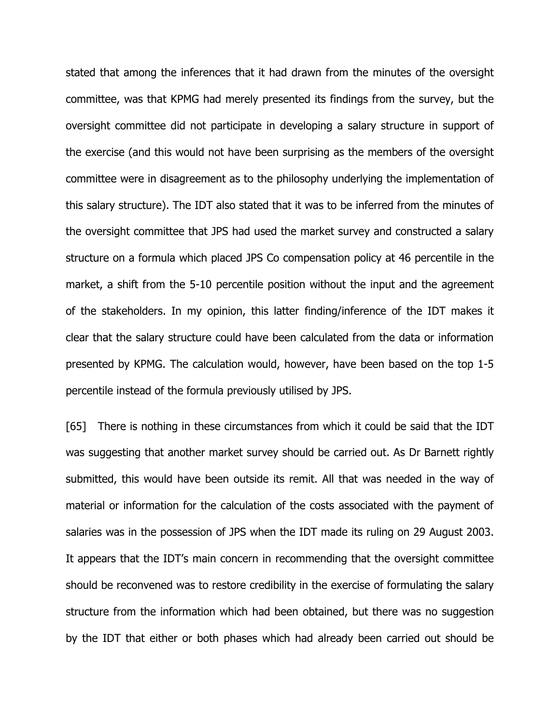stated that among the inferences that it had drawn from the minutes of the oversight committee, was that KPMG had merely presented its findings from the survey, but the oversight committee did not participate in developing a salary structure in support of the exercise (and this would not have been surprising as the members of the oversight committee were in disagreement as to the philosophy underlying the implementation of this salary structure). The IDT also stated that it was to be inferred from the minutes of the oversight committee that JPS had used the market survey and constructed a salary structure on a formula which placed JPS Co compensation policy at 46 percentile in the market, a shift from the 5-10 percentile position without the input and the agreement of the stakeholders. In my opinion, this latter finding/inference of the IDT makes it clear that the salary structure could have been calculated from the data or information presented by KPMG. The calculation would, however, have been based on the top 1-5 percentile instead of the formula previously utilised by JPS.

[65] There is nothing in these circumstances from which it could be said that the IDT was suggesting that another market survey should be carried out. As Dr Barnett rightly submitted, this would have been outside its remit. All that was needed in the way of material or information for the calculation of the costs associated with the payment of salaries was in the possession of JPS when the IDT made its ruling on 29 August 2003. It appears that the IDT's main concern in recommending that the oversight committee should be reconvened was to restore credibility in the exercise of formulating the salary structure from the information which had been obtained, but there was no suggestion by the IDT that either or both phases which had already been carried out should be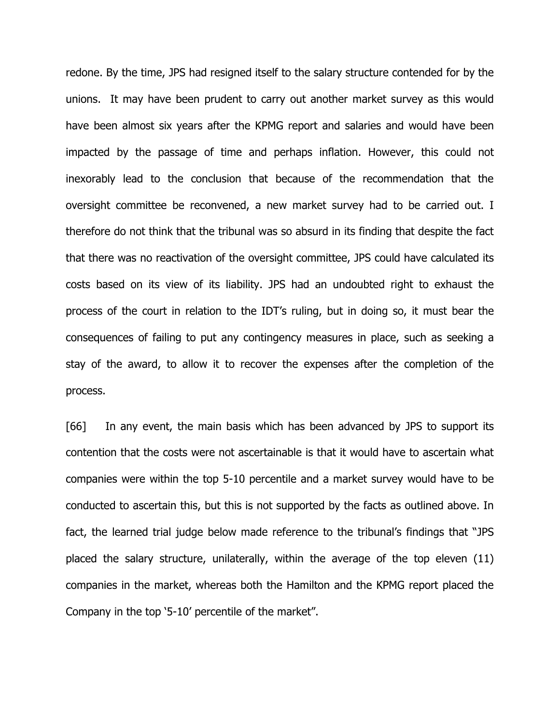redone. By the time, JPS had resigned itself to the salary structure contended for by the unions. It may have been prudent to carry out another market survey as this would have been almost six years after the KPMG report and salaries and would have been impacted by the passage of time and perhaps inflation. However, this could not inexorably lead to the conclusion that because of the recommendation that the oversight committee be reconvened, a new market survey had to be carried out. I therefore do not think that the tribunal was so absurd in its finding that despite the fact that there was no reactivation of the oversight committee, JPS could have calculated its costs based on its view of its liability. JPS had an undoubted right to exhaust the process of the court in relation to the IDT's ruling, but in doing so, it must bear the consequences of failing to put any contingency measures in place, such as seeking a stay of the award, to allow it to recover the expenses after the completion of the process.

[66] In any event, the main basis which has been advanced by JPS to support its contention that the costs were not ascertainable is that it would have to ascertain what companies were within the top 5-10 percentile and a market survey would have to be conducted to ascertain this, but this is not supported by the facts as outlined above. In fact, the learned trial judge below made reference to the tribunal's findings that "JPS placed the salary structure, unilaterally, within the average of the top eleven (11) companies in the market, whereas both the Hamilton and the KPMG report placed the Company in the top '5-10' percentile of the market".